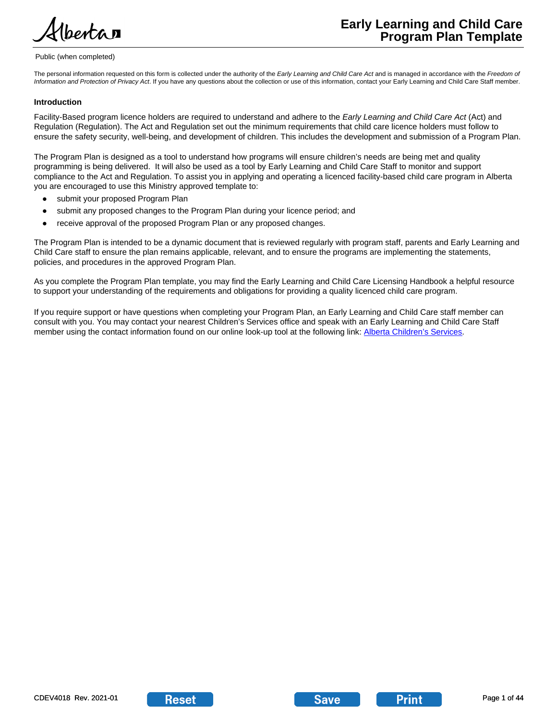senta

Public (when completed)

The personal information requested on this form is collected under the authority of the *Early Learning and Child Care Act* and is managed in accordance with the *Freedom of Information and Protection of Privacy Act*. If you have any questions about the collection or use of this information, contact your Early Learning and Child Care Staff member.

#### **Introduction**

Facility-Based program licence holders are required to understand and adhere to the *Early Learning and Child Care Act* (Act) and Regulation (Regulation). The Act and Regulation set out the minimum requirements that child care licence holders must follow to ensure the safety security, well-being, and development of children. This includes the development and submission of a Program Plan.

The Program Plan is designed as a tool to understand how programs will ensure children's needs are being met and quality programming is being delivered. It will also be used as a tool by Early Learning and Child Care Staff to monitor and support compliance to the Act and Regulation. To assist you in applying and operating a licenced facility-based child care program in Alberta you are encouraged to use this Ministry approved template to:

- submit your proposed Program Plan
- submit any proposed changes to the Program Plan during your licence period; and
- receive approval of the proposed Program Plan or any proposed changes.

The Program Plan is intended to be a dynamic document that is reviewed regularly with program staff, parents and Early Learning and Child Care staff to ensure the plan remains applicable, relevant, and to ensure the programs are implementing the statements, policies, and procedures in the approved Program Plan.

As you complete the Program Plan template, you may find the Early Learning and Child Care Licensing Handbook a helpful resource to support your understanding of the requirements and obligations for providing a quality licenced child care program.

If you require support or have questions when completing your Program Plan, an Early Learning and Child Care staff member can consult with you. You may contact your nearest Children's Services office and speak with an Early Learning and Child Care Staff member using the contact information found on our online look-up tool at the following link: Alberta Children's Services.



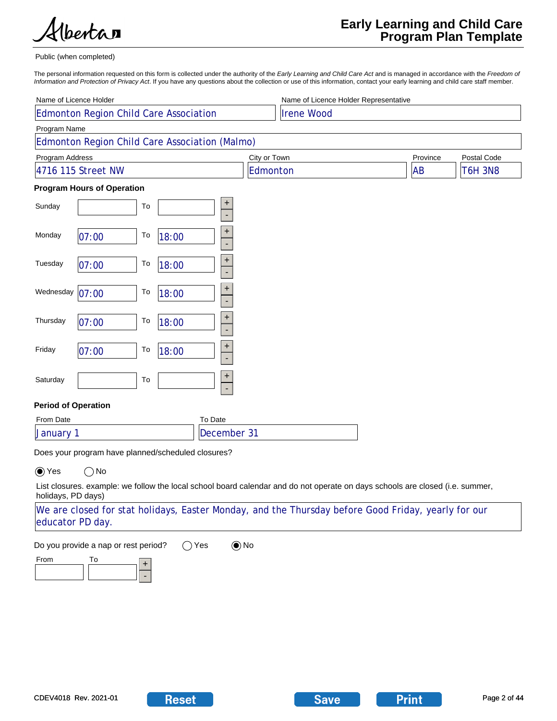bertan

Public (when completed)

The personal information requested on this form is collected under the authority of the *Early Learning and Child Care Act* and is managed in accordance with the *Freedom of Information and Protection of Privacy Act*. If you have any questions about the collection or use of this information, contact your early learning and child care staff member.

|                                                    | Name of Licence Holder                         |    |       |             |              |                   |  | Name of Licence Holder Representative |           |                |
|----------------------------------------------------|------------------------------------------------|----|-------|-------------|--------------|-------------------|--|---------------------------------------|-----------|----------------|
|                                                    | <b>Edmonton Region Child Care Association</b>  |    |       |             |              | <b>Irene Wood</b> |  |                                       |           |                |
|                                                    | Program Name                                   |    |       |             |              |                   |  |                                       |           |                |
|                                                    | Edmonton Region Child Care Association (Malmo) |    |       |             |              |                   |  |                                       |           |                |
| Program Address                                    |                                                |    |       |             | City or Town |                   |  |                                       | Province  | Postal Code    |
|                                                    | 4716 115 Street NW                             |    |       |             | Edmonton     |                   |  |                                       | <b>AB</b> | <b>T6H 3N8</b> |
|                                                    | <b>Program Hours of Operation</b>              |    |       |             |              |                   |  |                                       |           |                |
| Sunday                                             |                                                | To |       | +           |              |                   |  |                                       |           |                |
| Monday                                             | 07:00                                          | To | 18:00 | +           |              |                   |  |                                       |           |                |
| Tuesday                                            | 07:00                                          | To | 18:00 | +           |              |                   |  |                                       |           |                |
| Wednesday                                          | 07:00                                          | To | 18:00 | +           |              |                   |  |                                       |           |                |
| Thursday                                           | 07:00                                          | To | 18:00 | +           |              |                   |  |                                       |           |                |
| Friday                                             | 07:00                                          | To | 18:00 | +           |              |                   |  |                                       |           |                |
| Saturday                                           |                                                | To |       | +           |              |                   |  |                                       |           |                |
| <b>Period of Operation</b>                         |                                                |    |       |             |              |                   |  |                                       |           |                |
| From Date                                          |                                                |    |       | To Date     |              |                   |  |                                       |           |                |
| January 1                                          |                                                |    |       | December 31 |              |                   |  |                                       |           |                |
| Does your program have planned/scheduled closures? |                                                |    |       |             |              |                   |  |                                       |           |                |
| ⊙ Yes                                              | No                                             |    |       |             |              |                   |  |                                       |           |                |

List closures. example: we follow the local school board calendar and do not operate on days schools are closed (i.e. summer, holidays, PD days)

We are closed for stat holidays, Easter Monday, and the Thursday before Good Friday, yearly for our educator PD day.

Do you provide a nap or rest period?  $\bigcirc$  Yes  $\bigcirc$  No

|  | D) No |
|--|-------|
|  |       |

| From |  |
|------|--|
|      |  |
|      |  |



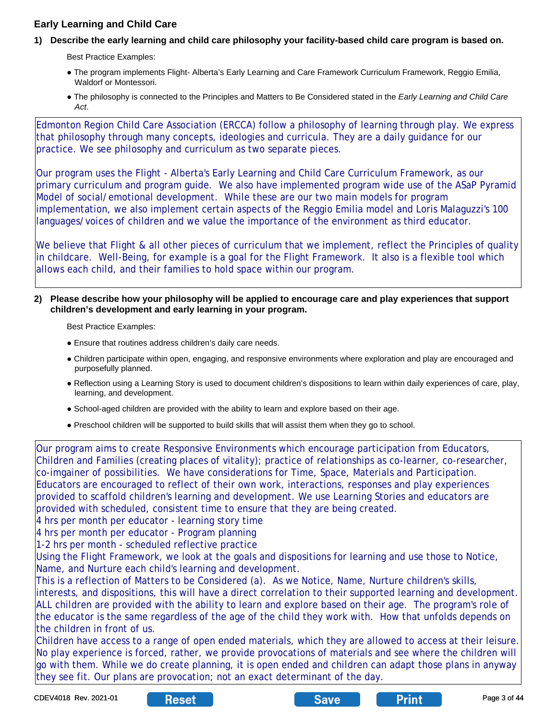# **Early Learning and Child Care**

## **1) Describe the early learning and child care philosophy your facility-based child care program is based on.**

Best Practice Examples:

- The program implements Flight- Alberta's Early Learning and Care Framework Curriculum Framework, Reggio Emilia, Waldorf or Montessori.
- The philosophy is connected to the Principles and Matters to Be Considered stated in the *Early Learning and Child Care Act*.

Edmonton Region Child Care Association (ERCCA) follow a philosophy of learning through play. We express that philosophy through many concepts, ideologies and curricula. They are a daily guidance for our practice. We see philosophy and curriculum as two separate pieces.

Our program uses the Flight - Alberta's Early Learning and Child Care Curriculum Framework, as our primary curriculum and program guide. We also have implemented program wide use of the ASaP Pyramid Model of social/emotional development. While these are our two main models for program implementation, we also implement certain aspects of the Reggio Emilia model and Loris Malaguzzi's 100 languages/voices of children and we value the importance of the environment as third educator.

We believe that Flight & all other pieces of curriculum that we implement, reflect the Principles of quality in childcare. Well-Being, for example is a goal for the Flight Framework. It also is a flexible tool which allows each child, and their families to hold space within our program.

#### **2) Please describe how your philosophy will be applied to encourage care and play experiences that support children's development and early learning in your program.**

Best Practice Examples:

- Ensure that routines address children's daily care needs.
- Children participate within open, engaging, and responsive environments where exploration and play are encouraged and purposefully planned.
- Reflection using a Learning Story is used to document children's dispositions to learn within daily experiences of care, play, learning, and development.
- School-aged children are provided with the ability to learn and explore based on their age.
- Preschool children will be supported to build skills that will assist them when they go to school.

Our program aims to create Responsive Environments which encourage participation from Educators, Children and Families (creating places of vitality); practice of relationships as co-learner, co-researcher, co-imgainer of possibilities. We have considerations for Time, Space, Materials and Participation. Educators are encouraged to reflect of their own work, interactions, responses and play experiences provided to scaffold children's learning and development. We use Learning Stories and educators are provided with scheduled, consistent time to ensure that they are being created.

4 hrs per month per educator - learning story time

4 hrs per month per educator - Program planning

1-2 hrs per month - scheduled reflective practice

Using the Flight Framework, we look at the goals and dispositions for learning and use those to Notice, Name, and Nurture each child's learning and development.

This is a reflection of Matters to be Considered (a). As we Notice, Name, Nurture children's skills, interests, and dispositions, this will have a direct correlation to their supported learning and development. ALL children are provided with the ability to learn and explore based on their age. The program's role of the educator is the same regardless of the age of the child they work with. How that unfolds depends on the children in front of us.

Children have access to a range of open ended materials, which they are allowed to access at their leisure. No play experience is forced, rather, we provide provocations of materials and see where the children will go with them. While we do create planning, it is open ended and children can adapt those plans in anyway they see fit. Our plans are provocation; not an exact determinant of the day.



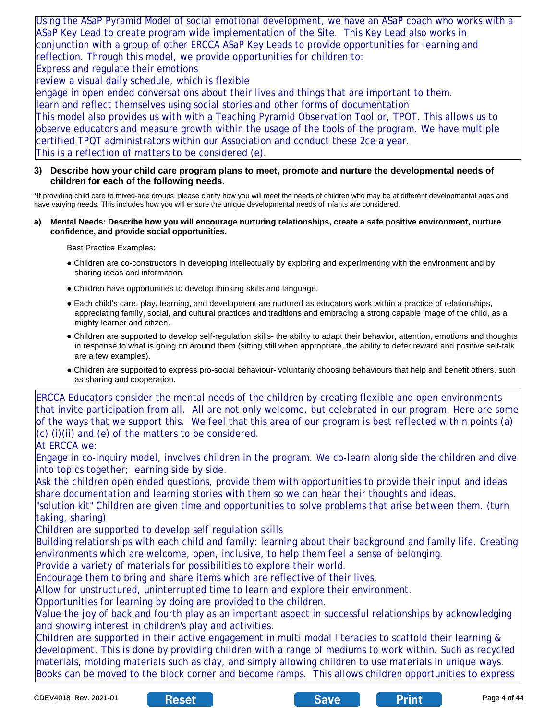Using the ASaP Pyramid Model of social emotional development, we have an ASaP coach who works with a ASaP Key Lead to create program wide implementation of the Site. This Key Lead also works in conjunction with a group of other ERCCA ASaP Key Leads to provide opportunities for learning and reflection. Through this model, we provide opportunities for children to:

Express and regulate their emotions

review a visual daily schedule, which is flexible

engage in open ended conversations about their lives and things that are important to them.

learn and reflect themselves using social stories and other forms of documentation

This model also provides us with with a Teaching Pyramid Observation Tool or, TPOT. This allows us to observe educators and measure growth within the usage of the tools of the program. We have multiple certified TPOT administrators within our Association and conduct these 2ce a year. This is a reflection of matters to be considered (e).

#### **3) Describe how your child care program plans to meet, promote and nurture the developmental needs of children for each of the following needs.**

\*If providing child care to mixed-age groups, please clarify how you will meet the needs of children who may be at different developmental ages and have varying needs. This includes how you will ensure the unique developmental needs of infants are considered.

#### **a) Mental Needs: Describe how you will encourage nurturing relationships, create a safe positive environment, nurture confidence, and provide social opportunities.**

Best Practice Examples:

- Children are co-constructors in developing intellectually by exploring and experimenting with the environment and by sharing ideas and information.
- Children have opportunities to develop thinking skills and language.
- Each child's care, play, learning, and development are nurtured as educators work within a practice of relationships, appreciating family, social, and cultural practices and traditions and embracing a strong capable image of the child, as a mighty learner and citizen.
- Children are supported to develop self-regulation skills- the ability to adapt their behavior, attention, emotions and thoughts in response to what is going on around them (sitting still when appropriate, the ability to defer reward and positive self-talk are a few examples).
- Children are supported to express pro-social behaviour- voluntarily choosing behaviours that help and benefit others, such as sharing and cooperation.

ERCCA Educators consider the mental needs of the children by creating flexible and open environments that invite participation from all. All are not only welcome, but celebrated in our program. Here are some of the ways that we support this. We feel that this area of our program is best reflected within points (a) (c) (i)(ii) and (e) of the matters to be considered.

# At ERCCA we:

Engage in co-inquiry model, involves children in the program. We co-learn along side the children and dive into topics together; learning side by side.

Ask the children open ended questions, provide them with opportunities to provide their input and ideas share documentation and learning stories with them so we can hear their thoughts and ideas.

"solution kit" Children are given time and opportunities to solve problems that arise between them. (turn taking, sharing)

Children are supported to develop self regulation skills

Building relationships with each child and family: learning about their background and family life. Creating environments which are welcome, open, inclusive, to help them feel a sense of belonging.

Provide a variety of materials for possibilities to explore their world.

Encourage them to bring and share items which are reflective of their lives.

Allow for unstructured, uninterrupted time to learn and explore their environment.

Opportunities for learning by doing are provided to the children.

Value the joy of back and fourth play as an important aspect in successful relationships by acknowledging and showing interest in children's play and activities.

Children are supported in their active engagement in multi modal literacies to scaffold their learning & development. This is done by providing children with a range of mediums to work within. Such as recycled materials, molding materials such as clay, and simply allowing children to use materials in unique ways. Books can be moved to the block corner and become ramps. This allows children opportunities to express



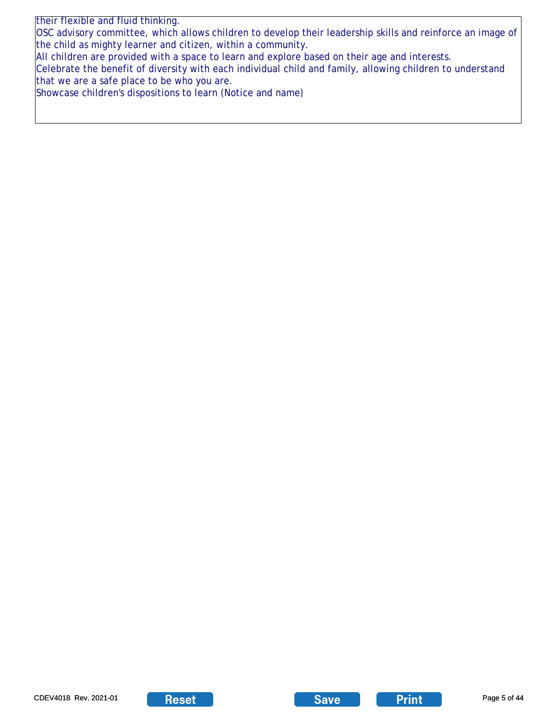their flexible and fluid thinking.

OSC advisory committee, which allows children to develop their leadership skills and reinforce an image of the child as mighty learner and citizen, within a community.

All children are provided with a space to learn and explore based on their age and interests.

Celebrate the benefit of diversity with each individual child and family, allowing children to understand that we are a safe place to be who you are.

Showcase children's dispositions to learn (Notice and name)



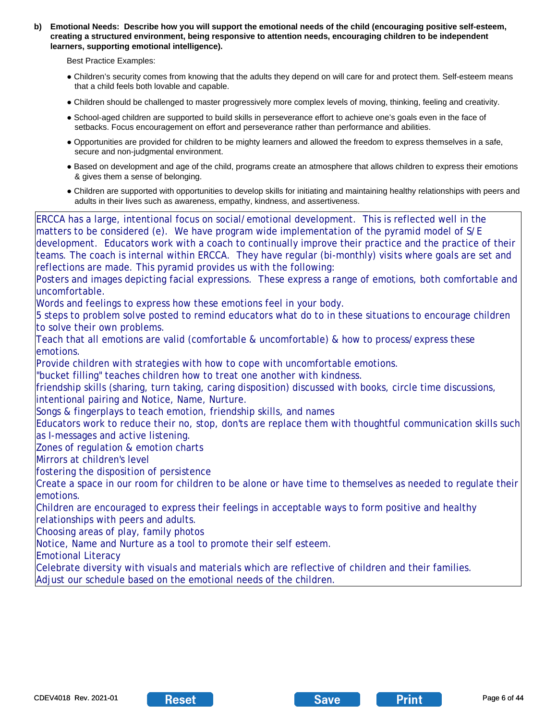**b) Emotional Needs: Describe how you will support the emotional needs of the child (encouraging positive self-esteem, creating a structured environment, being responsive to attention needs, encouraging children to be independent learners, supporting emotional intelligence).**

Best Practice Examples:

- Children's security comes from knowing that the adults they depend on will care for and protect them. Self-esteem means that a child feels both lovable and capable.
- Children should be challenged to master progressively more complex levels of moving, thinking, feeling and creativity.
- School-aged children are supported to build skills in perseverance effort to achieve one's goals even in the face of setbacks. Focus encouragement on effort and perseverance rather than performance and abilities.
- Opportunities are provided for children to be mighty learners and allowed the freedom to express themselves in a safe, secure and non-judgmental environment.
- Based on development and age of the child, programs create an atmosphere that allows children to express their emotions & gives them a sense of belonging.
- Children are supported with opportunities to develop skills for initiating and maintaining healthy relationships with peers and adults in their lives such as awareness, empathy, kindness, and assertiveness.

ERCCA has a large, intentional focus on social/emotional development. This is reflected well in the matters to be considered (e). We have program wide implementation of the pyramid model of S/E development. Educators work with a coach to continually improve their practice and the practice of their teams. The coach is internal within ERCCA. They have regular (bi-monthly) visits where goals are set and reflections are made. This pyramid provides us with the following: Posters and images depicting facial expressions. These express a range of emotions, both comfortable and uncomfortable. Words and feelings to express how these emotions feel in your body. 5 steps to problem solve posted to remind educators what do to in these situations to encourage children to solve their own problems. Teach that all emotions are valid (comfortable & uncomfortable) & how to process/express these emotions. Provide children with strategies with how to cope with uncomfortable emotions. "bucket filling" teaches children how to treat one another with kindness. friendship skills (sharing, turn taking, caring disposition) discussed with books, circle time discussions, intentional pairing and Notice, Name, Nurture. Songs & fingerplays to teach emotion, friendship skills, and names Educators work to reduce their no, stop, don'ts are replace them with thoughtful communication skills such as I-messages and active listening. Zones of regulation & emotion charts Mirrors at children's level

fostering the disposition of persistence

Create a space in our room for children to be alone or have time to themselves as needed to regulate their emotions.

Children are encouraged to express their feelings in acceptable ways to form positive and healthy relationships with peers and adults.

Choosing areas of play, family photos

Notice, Name and Nurture as a tool to promote their self esteem.

Emotional Literacy

Celebrate diversity with visuals and materials which are reflective of children and their families.

Adjust our schedule based on the emotional needs of the children.



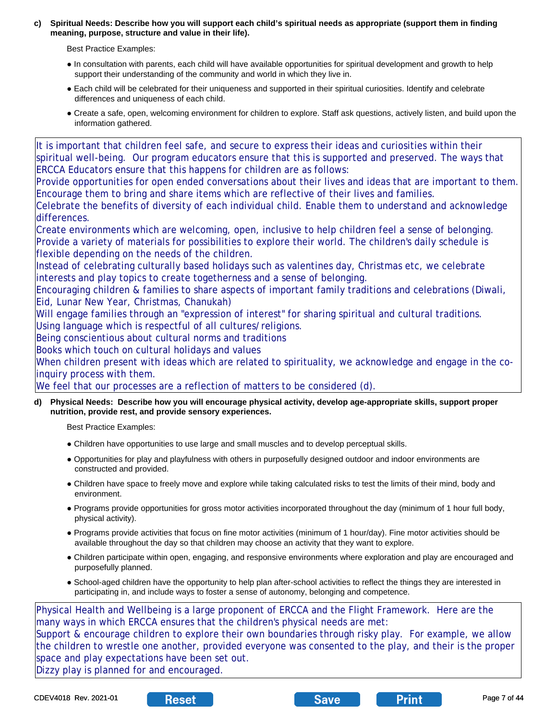**c) Spiritual Needs: Describe how you will support each child's spiritual needs as appropriate (support them in finding meaning, purpose, structure and value in their life).**

Best Practice Examples:

- In consultation with parents, each child will have available opportunities for spiritual development and growth to help support their understanding of the community and world in which they live in.
- Each child will be celebrated for their uniqueness and supported in their spiritual curiosities. Identify and celebrate differences and uniqueness of each child.
- Create a safe, open, welcoming environment for children to explore. Staff ask questions, actively listen, and build upon the information gathered.

It is important that children feel safe, and secure to express their ideas and curiosities within their spiritual well-being. Our program educators ensure that this is supported and preserved. The ways that ERCCA Educators ensure that this happens for children are as follows:

Provide opportunities for open ended conversations about their lives and ideas that are important to them. Encourage them to bring and share items which are reflective of their lives and families.

Celebrate the benefits of diversity of each individual child. Enable them to understand and acknowledge differences.

Create environments which are welcoming, open, inclusive to help children feel a sense of belonging. Provide a variety of materials for possibilities to explore their world. The children's daily schedule is flexible depending on the needs of the children.

Instead of celebrating culturally based holidays such as valentines day, Christmas etc, we celebrate interests and play topics to create togetherness and a sense of belonging.

Encouraging children & families to share aspects of important family traditions and celebrations (Diwali, Eid, Lunar New Year, Christmas, Chanukah)

Will engage families through an "expression of interest" for sharing spiritual and cultural traditions. Using language which is respectful of all cultures/religions.

Being conscientious about cultural norms and traditions

Books which touch on cultural holidays and values

When children present with ideas which are related to spirituality, we acknowledge and engage in the coinquiry process with them.

We feel that our processes are a reflection of matters to be considered (d).

**d) Physical Needs: Describe how you will encourage physical activity, develop age-appropriate skills, support proper nutrition, provide rest, and provide sensory experiences.**

Best Practice Examples:

- Children have opportunities to use large and small muscles and to develop perceptual skills.
- Opportunities for play and playfulness with others in purposefully designed outdoor and indoor environments are constructed and provided.
- Children have space to freely move and explore while taking calculated risks to test the limits of their mind, body and environment.
- Programs provide opportunities for gross motor activities incorporated throughout the day (minimum of 1 hour full body, physical activity).
- Programs provide activities that focus on fine motor activities (minimum of 1 hour/day). Fine motor activities should be available throughout the day so that children may choose an activity that they want to explore.
- Children participate within open, engaging, and responsive environments where exploration and play are encouraged and purposefully planned.
- School-aged children have the opportunity to help plan after-school activities to reflect the things they are interested in participating in, and include ways to foster a sense of autonomy, belonging and competence.

Physical Health and Wellbeing is a large proponent of ERCCA and the Flight Framework. Here are the many ways in which ERCCA ensures that the children's physical needs are met:

Support & encourage children to explore their own boundaries through risky play. For example, we allow the children to wrestle one another, provided everyone was consented to the play, and their is the proper space and play expectations have been set out.

Dizzy play is planned for and encouraged.



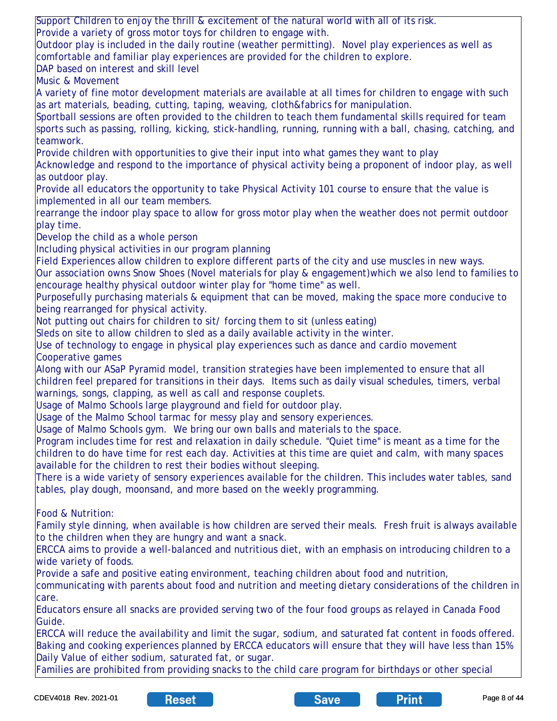Support Children to enjoy the thrill & excitement of the natural world with all of its risk. Provide a variety of gross motor toys for children to engage with.

Outdoor play is included in the daily routine (weather permitting). Novel play experiences as well as comfortable and familiar play experiences are provided for the children to explore.

DAP based on interest and skill level

Music & Movement

A variety of fine motor development materials are available at all times for children to engage with such as art materials, beading, cutting, taping, weaving, cloth&fabrics for manipulation.

Sportball sessions are often provided to the children to teach them fundamental skills required for team sports such as passing, rolling, kicking, stick-handling, running, running with a ball, chasing, catching, and teamwork.

Provide children with opportunities to give their input into what games they want to play

Acknowledge and respond to the importance of physical activity being a proponent of indoor play, as well as outdoor play.

Provide all educators the opportunity to take Physical Activity 101 course to ensure that the value is implemented in all our team members.

rearrange the indoor play space to allow for gross motor play when the weather does not permit outdoor play time.

Develop the child as a whole person

Including physical activities in our program planning

Field Experiences allow children to explore different parts of the city and use muscles in new ways.

Our association owns Snow Shoes (Novel materials for play & engagement)which we also lend to families to encourage healthy physical outdoor winter play for "home time" as well.

Purposefully purchasing materials & equipment that can be moved, making the space more conducive to being rearranged for physical activity.

Not putting out chairs for children to sit/ forcing them to sit (unless eating)

Sleds on site to allow children to sled as a daily available activity in the winter.

Use of technology to engage in physical play experiences such as dance and cardio movement Cooperative games

Along with our ASaP Pyramid model, transition strategies have been implemented to ensure that all children feel prepared for transitions in their days. Items such as daily visual schedules, timers, verbal warnings, songs, clapping, as well as call and response couplets.

Usage of Malmo Schools large playground and field for outdoor play.

Usage of the Malmo School tarmac for messy play and sensory experiences.

Usage of Malmo Schools gym. We bring our own balls and materials to the space.

Program includes time for rest and relaxation in daily schedule. "Quiet time" is meant as a time for the children to do have time for rest each day. Activities at this time are quiet and calm, with many spaces available for the children to rest their bodies without sleeping.

There is a wide variety of sensory experiences available for the children. This includes water tables, sand tables, play dough, moonsand, and more based on the weekly programming.

Food & Nutrition:

Family style dinning, when available is how children are served their meals. Fresh fruit is always available to the children when they are hungry and want a snack.

ERCCA aims to provide a well-balanced and nutritious diet, with an emphasis on introducing children to a wide variety of foods.

Provide a safe and positive eating environment, teaching children about food and nutrition,

communicating with parents about food and nutrition and meeting dietary considerations of the children in care.

Educators ensure all snacks are provided serving two of the four food groups as relayed in Canada Food Guide.

ERCCA will reduce the availability and limit the sugar, sodium, and saturated fat content in foods offered. Baking and cooking experiences planned by ERCCA educators will ensure that they will have less than 15% Daily Value of either sodium, saturated fat, or sugar.

Families are prohibited from providing snacks to the child care program for birthdays or other special



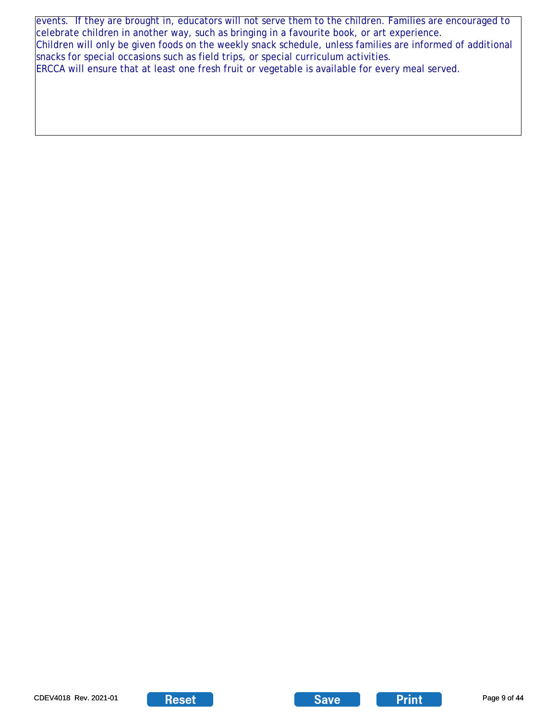events. If they are brought in, educators will not serve them to the children. Families are encouraged to celebrate children in another way, such as bringing in a favourite book, or art experience. Children will only be given foods on the weekly snack schedule, unless families are informed of additional snacks for special occasions such as field trips, or special curriculum activities. ERCCA will ensure that at least one fresh fruit or vegetable is available for every meal served.



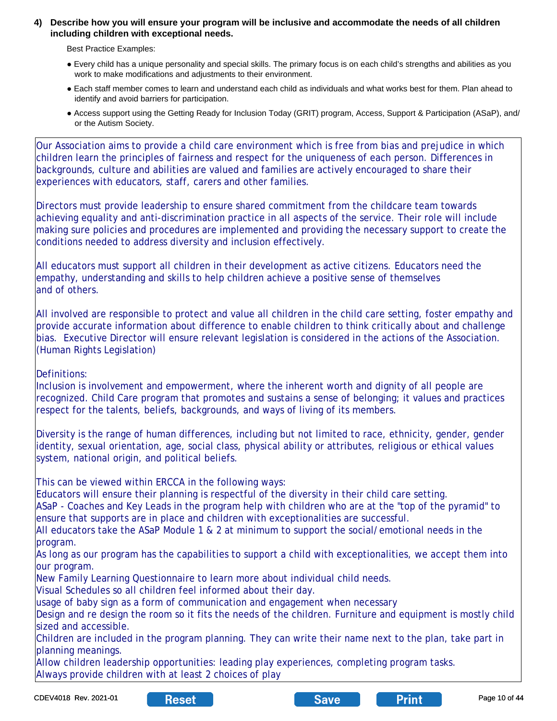## **4) Describe how you will ensure your program will be inclusive and accommodate the needs of all children including children with exceptional needs.**

Best Practice Examples:

- Every child has a unique personality and special skills. The primary focus is on each child's strengths and abilities as you work to make modifications and adjustments to their environment.
- Each staff member comes to learn and understand each child as individuals and what works best for them. Plan ahead to identify and avoid barriers for participation.
- Access support using the Getting Ready for Inclusion Today (GRIT) program, Access, Support & Participation (ASaP), and/ or the Autism Society.

Our Association aims to provide a child care environment which is free from bias and prejudice in which children learn the principles of fairness and respect for the uniqueness of each person. Differences in backgrounds, culture and abilities are valued and families are actively encouraged to share their experiences with educators, staff, carers and other families.

Directors must provide leadership to ensure shared commitment from the childcare team towards achieving equality and anti-discrimination practice in all aspects of the service. Their role will include making sure policies and procedures are implemented and providing the necessary support to create the conditions needed to address diversity and inclusion effectively.

All educators must support all children in their development as active citizens. Educators need the empathy, understanding and skills to help children achieve a positive sense of themselves and of others.

All involved are responsible to protect and value all children in the child care setting, foster empathy and provide accurate information about difference to enable children to think critically about and challenge bias. Executive Director will ensure relevant legislation is considered in the actions of the Association. (Human Rights Legislation)

# Definitions:

Inclusion is involvement and empowerment, where the inherent worth and dignity of all people are recognized. Child Care program that promotes and sustains a sense of belonging; it values and practices respect for the talents, beliefs, backgrounds, and ways of living of its members.

Diversity is the range of human differences, including but not limited to race, ethnicity, gender, gender identity, sexual orientation, age, social class, physical ability or attributes, religious or ethical values system, national origin, and political beliefs.

This can be viewed within ERCCA in the following ways:

Educators will ensure their planning is respectful of the diversity in their child care setting. ASaP - Coaches and Key Leads in the program help with children who are at the "top of the pyramid" to

ensure that supports are in place and children with exceptionalities are successful.

All educators take the ASaP Module 1 & 2 at minimum to support the social/emotional needs in the program.

As long as our program has the capabilities to support a child with exceptionalities, we accept them into our program.

New Family Learning Questionnaire to learn more about individual child needs.

Visual Schedules so all children feel informed about their day.

usage of baby sign as a form of communication and engagement when necessary

Design and re design the room so it fits the needs of the children. Furniture and equipment is mostly child sized and accessible.

Children are included in the program planning. They can write their name next to the plan, take part in planning meanings.

Allow children leadership opportunities: leading play experiences, completing program tasks. Always provide children with at least 2 choices of play



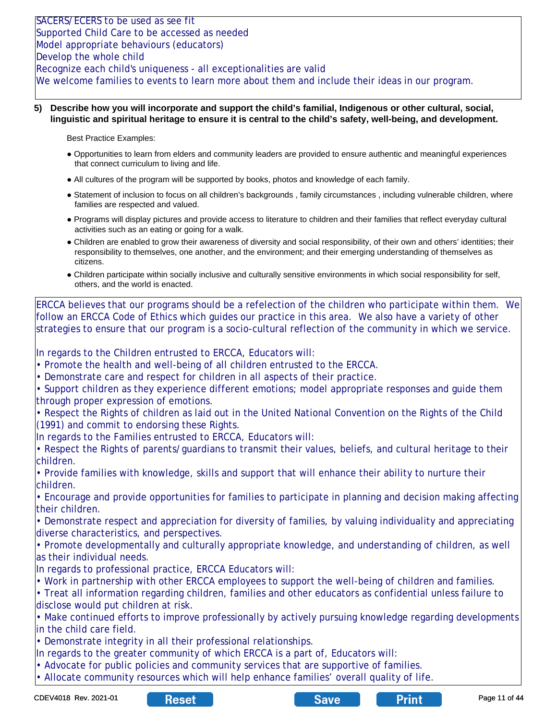### **5) Describe how you will incorporate and support the child's familial, Indigenous or other cultural, social, linguistic and spiritual heritage to ensure it is central to the child's safety, well-being, and development.**

Best Practice Examples:

- Opportunities to learn from elders and community leaders are provided to ensure authentic and meaningful experiences that connect curriculum to living and life.
- All cultures of the program will be supported by books, photos and knowledge of each family.
- Statement of inclusion to focus on all children's backgrounds , family circumstances , including vulnerable children, where families are respected and valued.
- Programs will display pictures and provide access to literature to children and their families that reflect everyday cultural activities such as an eating or going for a walk.
- Children are enabled to grow their awareness of diversity and social responsibility, of their own and others' identities; their responsibility to themselves, one another, and the environment; and their emerging understanding of themselves as citizens.
- Children participate within socially inclusive and culturally sensitive environments in which social responsibility for self, others, and the world is enacted.

ERCCA believes that our programs should be a refelection of the children who participate within them. We follow an ERCCA Code of Ethics which guides our practice in this area. We also have a variety of other strategies to ensure that our program is a socio-cultural reflection of the community in which we service.

In regards to the Children entrusted to ERCCA, Educators will:

• Promote the health and well-being of all children entrusted to the ERCCA.

• Demonstrate care and respect for children in all aspects of their practice.

• Support children as they experience different emotions; model appropriate responses and guide them through proper expression of emotions.

• Respect the Rights of children as laid out in the United National Convention on the Rights of the Child (1991) and commit to endorsing these Rights.

In regards to the Families entrusted to ERCCA, Educators will:

• Respect the Rights of parents/guardians to transmit their values, beliefs, and cultural heritage to their children.

• Provide families with knowledge, skills and support that will enhance their ability to nurture their children.

• Encourage and provide opportunities for families to participate in planning and decision making affecting their children.

• Demonstrate respect and appreciation for diversity of families, by valuing individuality and appreciating diverse characteristics, and perspectives.

• Promote developmentally and culturally appropriate knowledge, and understanding of children, as well as their individual needs.

In regards to professional practice, ERCCA Educators will:

• Work in partnership with other ERCCA employees to support the well-being of children and families.

• Treat all information regarding children, families and other educators as confidential unless failure to disclose would put children at risk.

• Make continued efforts to improve professionally by actively pursuing knowledge regarding developments in the child care field.

• Demonstrate integrity in all their professional relationships.

In regards to the greater community of which ERCCA is a part of, Educators will:

• Advocate for public policies and community services that are supportive of families.

• Allocate community resources which will help enhance families' overall quality of life.



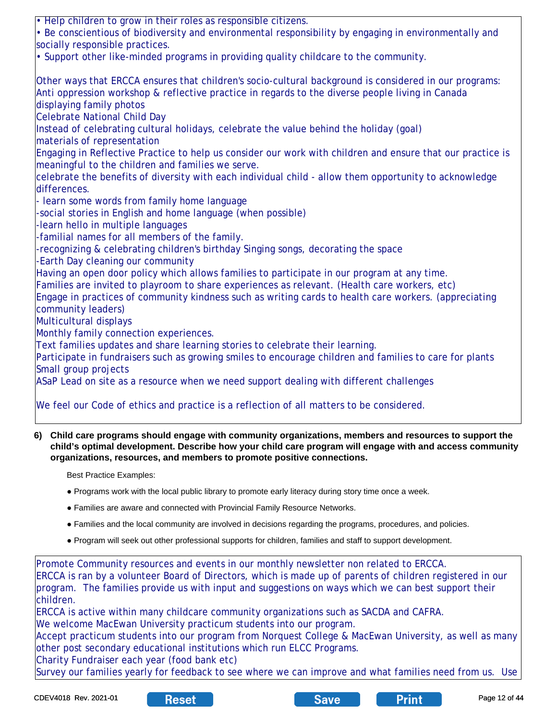• Help children to grow in their roles as responsible citizens. • Be conscientious of biodiversity and environmental responsibility by engaging in environmentally and socially responsible practices. • Support other like-minded programs in providing quality childcare to the community. Other ways that ERCCA ensures that children's socio-cultural background is considered in our programs: Anti oppression workshop & reflective practice in regards to the diverse people living in Canada displaying family photos Celebrate National Child Day Instead of celebrating cultural holidays, celebrate the value behind the holiday (goal) materials of representation Engaging in Reflective Practice to help us consider our work with children and ensure that our practice is meaningful to the children and families we serve. celebrate the benefits of diversity with each individual child - allow them opportunity to acknowledge differences. - learn some words from family home language -social stories in English and home language (when possible) -learn hello in multiple languages -familial names for all members of the family. -recognizing & celebrating children's birthday Singing songs, decorating the space -Earth Day cleaning our community Having an open door policy which allows families to participate in our program at any time. Families are invited to playroom to share experiences as relevant. (Health care workers, etc) Engage in practices of community kindness such as writing cards to health care workers. (appreciating community leaders) Multicultural displays Monthly family connection experiences. Text families updates and share learning stories to celebrate their learning. Participate in fundraisers such as growing smiles to encourage children and families to care for plants Small group projects ASaP Lead on site as a resource when we need support dealing with different challenges We feel our Code of ethics and practice is a reflection of all matters to be considered.

**6) Child care programs should engage with community organizations, members and resources to support the child's optimal development. Describe how your child care program will engage with and access community organizations, resources, and members to promote positive connections.**

Best Practice Examples:

- Programs work with the local public library to promote early literacy during story time once a week.
- Families are aware and connected with Provincial Family Resource Networks.
- Families and the local community are involved in decisions regarding the programs, procedures, and policies.
- Program will seek out other professional supports for children, families and staff to support development.

Promote Community resources and events in our monthly newsletter non related to ERCCA. ERCCA is ran by a volunteer Board of Directors, which is made up of parents of children registered in our program. The families provide us with input and suggestions on ways which we can best support their children.

ERCCA is active within many childcare community organizations such as SACDA and CAFRA. We welcome MacEwan University practicum students into our program.

Accept practicum students into our program from Norquest College & MacEwan University, as well as many other post secondary educational institutions which run ELCC Programs.

Charity Fundraiser each year (food bank etc)

Survey our families yearly for feedback to see where we can improve and what families need from us. Use



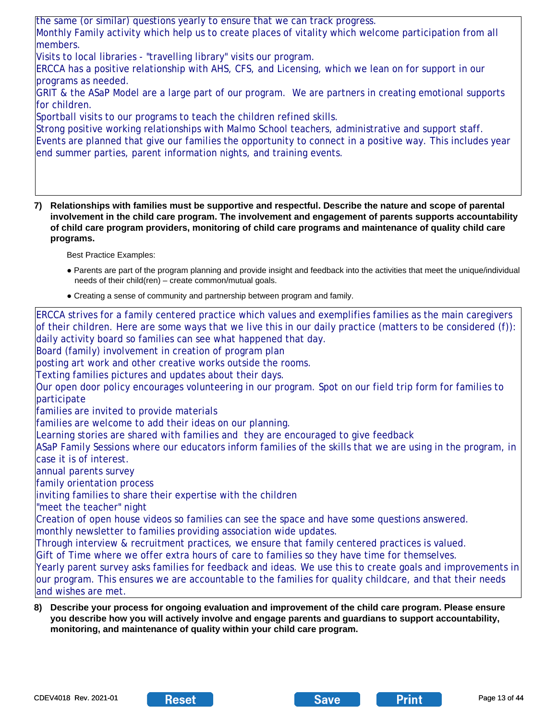the same (or similar) questions yearly to ensure that we can track progress.

Monthly Family activity which help us to create places of vitality which welcome participation from all members.

Visits to local libraries - "travelling library" visits our program.

ERCCA has a positive relationship with AHS, CFS, and Licensing, which we lean on for support in our programs as needed.

GRIT & the ASaP Model are a large part of our program. We are partners in creating emotional supports for children.

Sportball visits to our programs to teach the children refined skills.

Strong positive working relationships with Malmo School teachers, administrative and support staff. Events are planned that give our families the opportunity to connect in a positive way. This includes year end summer parties, parent information nights, and training events.

**7) Relationships with families must be supportive and respectful. Describe the nature and scope of parental involvement in the child care program. The involvement and engagement of parents supports accountability of child care program providers, monitoring of child care programs and maintenance of quality child care programs.**

Best Practice Examples:

- Parents are part of the program planning and provide insight and feedback into the activities that meet the unique/individual needs of their child(ren) – create common/mutual goals.
- Creating a sense of community and partnership between program and family.

ERCCA strives for a family centered practice which values and exemplifies families as the main caregivers of their children. Here are some ways that we live this in our daily practice (matters to be considered (f)): daily activity board so families can see what happened that day.

Board (family) involvement in creation of program plan

posting art work and other creative works outside the rooms.

Texting families pictures and updates about their days.

Our open door policy encourages volunteering in our program. Spot on our field trip form for families to participate

families are invited to provide materials

families are welcome to add their ideas on our planning.

Learning stories are shared with families and they are encouraged to give feedback

ASaP Family Sessions where our educators inform families of the skills that we are using in the program, in case it is of interest.

annual parents survey

family orientation process

inviting families to share their expertise with the children

"meet the teacher" night

Creation of open house videos so families can see the space and have some questions answered. monthly newsletter to families providing association wide updates.

Through interview & recruitment practices, we ensure that family centered practices is valued.

Gift of Time where we offer extra hours of care to families so they have time for themselves.

Yearly parent survey asks families for feedback and ideas. We use this to create goals and improvements in our program. This ensures we are accountable to the families for quality childcare, and that their needs and wishes are met.

**8) Describe your process for ongoing evaluation and improvement of the child care program. Please ensure you describe how you will actively involve and engage parents and guardians to support accountability, monitoring, and maintenance of quality within your child care program.**



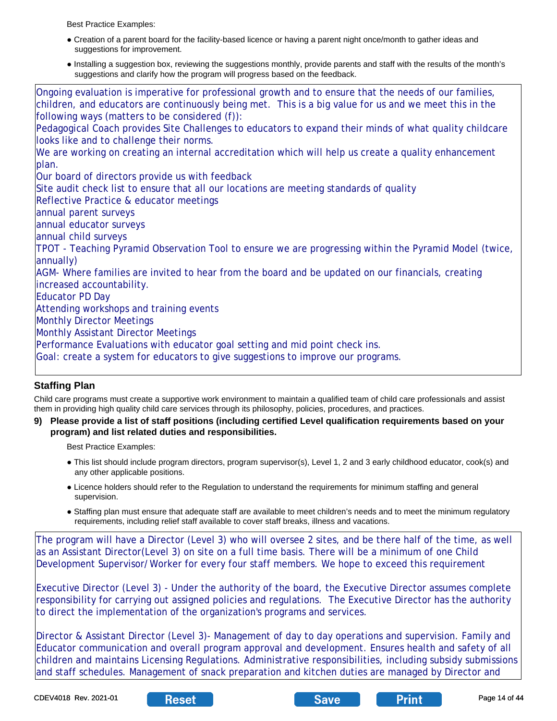Best Practice Examples:

- Creation of a parent board for the facility-based licence or having a parent night once/month to gather ideas and suggestions for improvement.
- Installing a suggestion box, reviewing the suggestions monthly, provide parents and staff with the results of the month's suggestions and clarify how the program will progress based on the feedback.

Ongoing evaluation is imperative for professional growth and to ensure that the needs of our families, children, and educators are continuously being met. This is a big value for us and we meet this in the following ways (matters to be considered (f)):

Pedagogical Coach provides Site Challenges to educators to expand their minds of what quality childcare looks like and to challenge their norms.

We are working on creating an internal accreditation which will help us create a quality enhancement plan.

Our board of directors provide us with feedback

Site audit check list to ensure that all our locations are meeting standards of quality Reflective Practice & educator meetings

annual parent surveys

annual educator surveys

annual child surveys

TPOT - Teaching Pyramid Observation Tool to ensure we are progressing within the Pyramid Model (twice, annually)

AGM- Where families are invited to hear from the board and be updated on our financials, creating increased accountability.

Educator PD Day

Attending workshops and training events

Monthly Director Meetings

Monthly Assistant Director Meetings

Performance Evaluations with educator goal setting and mid point check ins.

Goal: create a system for educators to give suggestions to improve our programs.

# **Staffing Plan**

Child care programs must create a supportive work environment to maintain a qualified team of child care professionals and assist them in providing high quality child care services through its philosophy, policies, procedures, and practices.

**9) Please provide a list of staff positions (including certified Level qualification requirements based on your program) and list related duties and responsibilities.** 

Best Practice Examples:

- This list should include program directors, program supervisor(s), Level 1, 2 and 3 early childhood educator, cook(s) and any other applicable positions.
- Licence holders should refer to the Regulation to understand the requirements for minimum staffing and general supervision.
- Staffing plan must ensure that adequate staff are available to meet children's needs and to meet the minimum regulatory requirements, including relief staff available to cover staff breaks, illness and vacations.

The program will have a Director (Level 3) who will oversee 2 sites, and be there half of the time, as well as an Assistant Director(Level 3) on site on a full time basis. There will be a minimum of one Child Development Supervisor/Worker for every four staff members. We hope to exceed this requirement

Executive Director (Level 3) - Under the authority of the board, the Executive Director assumes complete responsibility for carrying out assigned policies and regulations. The Executive Director has the authority to direct the implementation of the organization's programs and services.

Director & Assistant Director (Level 3)- Management of day to day operations and supervision. Family and Educator communication and overall program approval and development. Ensures health and safety of all children and maintains Licensing Regulations. Administrative responsibilities, including subsidy submissions and staff schedules. Management of snack preparation and kitchen duties are managed by Director and



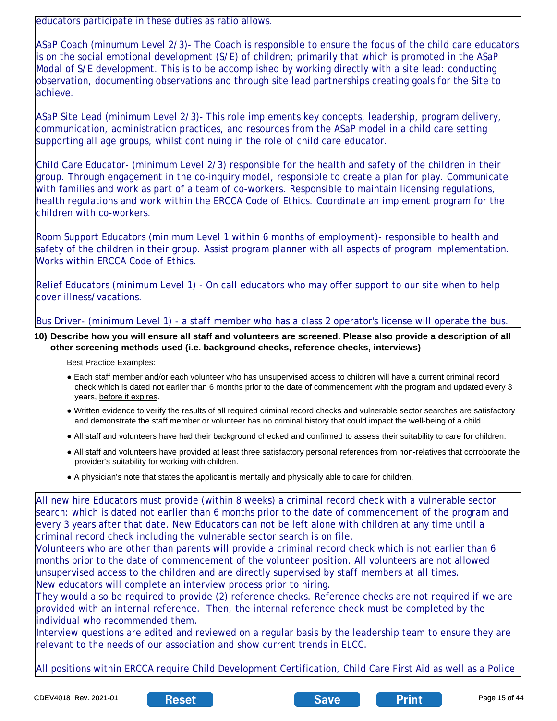educators participate in these duties as ratio allows.

ASaP Coach (minumum Level 2/3)- The Coach is responsible to ensure the focus of the child care educators is on the social emotional development (S/E) of children; primarily that which is promoted in the ASaP Modal of S/E development. This is to be accomplished by working directly with a site lead: conducting observation, documenting observations and through site lead partnerships creating goals for the Site to achieve.

ASaP Site Lead (minimum Level 2/3)- This role implements key concepts, leadership, program delivery, communication, administration practices, and resources from the ASaP model in a child care setting supporting all age groups, whilst continuing in the role of child care educator.

Child Care Educator- (minimum Level 2/3) responsible for the health and safety of the children in their group. Through engagement in the co-inquiry model, responsible to create a plan for play. Communicate with families and work as part of a team of co-workers. Responsible to maintain licensing regulations, health regulations and work within the ERCCA Code of Ethics. Coordinate an implement program for the children with co-workers.

Room Support Educators (minimum Level 1 within 6 months of employment)- responsible to health and safety of the children in their group. Assist program planner with all aspects of program implementation. Works within ERCCA Code of Ethics.

Relief Educators (minimum Level 1) - On call educators who may offer support to our site when to help cover illness/vacations.

## Bus Driver- (minimum Level 1) - a staff member who has a class 2 operator's license will operate the bus.

## **10) Describe how you will ensure all staff and volunteers are screened. Please also provide a description of all other screening methods used (i.e. background checks, reference checks, interviews)**

Best Practice Examples:

- Each staff member and/or each volunteer who has unsupervised access to children will have a current criminal record check which is dated not earlier than 6 months prior to the date of commencement with the program and updated every 3 years, before it expires.
- Written evidence to verify the results of all required criminal record checks and vulnerable sector searches are satisfactory and demonstrate the staff member or volunteer has no criminal history that could impact the well-being of a child.
- All staff and volunteers have had their background checked and confirmed to assess their suitability to care for children.
- All staff and volunteers have provided at least three satisfactory personal references from non-relatives that corroborate the provider's suitability for working with children.
- A physician's note that states the applicant is mentally and physically able to care for children.

All new hire Educators must provide (within 8 weeks) a criminal record check with a vulnerable sector search: which is dated not earlier than 6 months prior to the date of commencement of the program and every 3 years after that date. New Educators can not be left alone with children at any time until a criminal record check including the vulnerable sector search is on file.

Volunteers who are other than parents will provide a criminal record check which is not earlier than 6 months prior to the date of commencement of the volunteer position. All volunteers are not allowed unsupervised access to the children and are directly supervised by staff members at all times. New educators will complete an interview process prior to hiring.

They would also be required to provide (2) reference checks. Reference checks are not required if we are provided with an internal reference. Then, the internal reference check must be completed by the individual who recommended them.

Interview questions are edited and reviewed on a regular basis by the leadership team to ensure they are relevant to the needs of our association and show current trends in ELCC.

All positions within ERCCA require Child Development Certification, Child Care First Aid as well as a Police



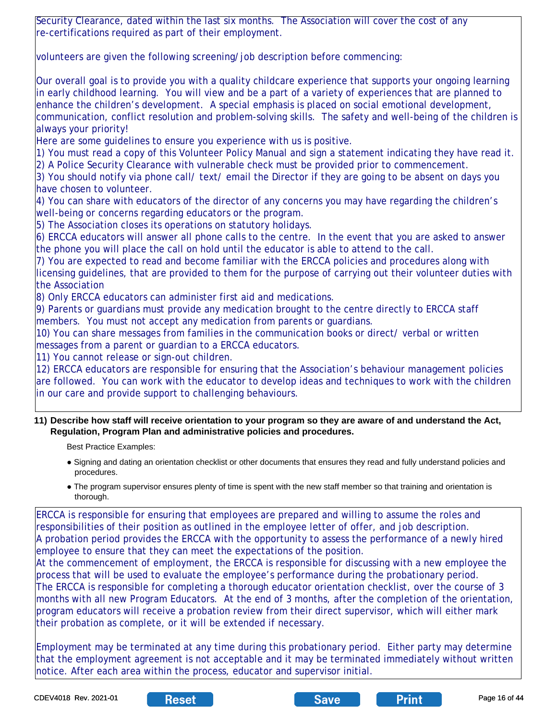Security Clearance, dated within the last six months. The Association will cover the cost of any re-certifications required as part of their employment.

volunteers are given the following screening/job description before commencing:

Our overall goal is to provide you with a quality childcare experience that supports your ongoing learning in early childhood learning. You will view and be a part of a variety of experiences that are planned to enhance the children's development. A special emphasis is placed on social emotional development, communication, conflict resolution and problem-solving skills. The safety and well-being of the children is always your priority!

Here are some guidelines to ensure you experience with us is positive.

1) You must read a copy of this Volunteer Policy Manual and sign a statement indicating they have read it.

2) A Police Security Clearance with vulnerable check must be provided prior to commencement.

3) You should notify via phone call/ text/ email the Director if they are going to be absent on days you have chosen to volunteer.

4) You can share with educators of the director of any concerns you may have regarding the children's well-being or concerns regarding educators or the program.

5) The Association closes its operations on statutory holidays.

6) ERCCA educators will answer all phone calls to the centre. In the event that you are asked to answer the phone you will place the call on hold until the educator is able to attend to the call.

7) You are expected to read and become familiar with the ERCCA policies and procedures along with licensing guidelines, that are provided to them for the purpose of carrying out their volunteer duties with the Association

8) Only ERCCA educators can administer first aid and medications.

9) Parents or guardians must provide any medication brought to the centre directly to ERCCA staff members. You must not accept any medication from parents or guardians.

10) You can share messages from families in the communication books or direct/ verbal or written messages from a parent or guardian to a ERCCA educators.

11) You cannot release or sign-out children.

12) ERCCA educators are responsible for ensuring that the Association's behaviour management policies are followed. You can work with the educator to develop ideas and techniques to work with the children in our care and provide support to challenging behaviours.

# **11) Describe how staff will receive orientation to your program so they are aware of and understand the Act, Regulation, Program Plan and administrative policies and procedures.**

Best Practice Examples:

- Signing and dating an orientation checklist or other documents that ensures they read and fully understand policies and procedures.
- The program supervisor ensures plenty of time is spent with the new staff member so that training and orientation is thorough.

ERCCA is responsible for ensuring that employees are prepared and willing to assume the roles and responsibilities of their position as outlined in the employee letter of offer, and job description. A probation period provides the ERCCA with the opportunity to assess the performance of a newly hired employee to ensure that they can meet the expectations of the position.

At the commencement of employment, the ERCCA is responsible for discussing with a new employee the process that will be used to evaluate the employee's performance during the probationary period. The ERCCA is responsible for completing a thorough educator orientation checklist, over the course of 3 months with all new Program Educators. At the end of 3 months, after the completion of the orientation, program educators will receive a probation review from their direct supervisor, which will either mark their probation as complete, or it will be extended if necessary.

Employment may be terminated at any time during this probationary period. Either party may determine that the employment agreement is not acceptable and it may be terminated immediately without written notice. After each area within the process, educator and supervisor initial.



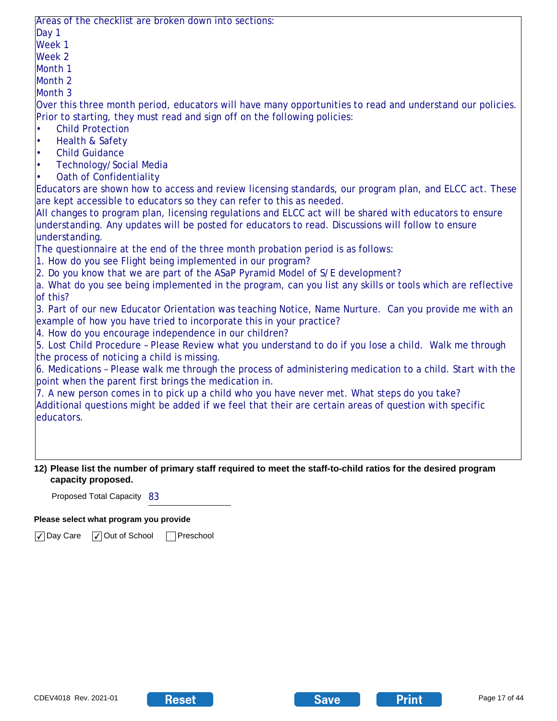Areas of the checklist are broken down into sections:

Day 1

Week 1

Week 2

Month<sub>1</sub>

Month 2

Month<sub>3</sub>

Over this three month period, educators will have many opportunities to read and understand our policies. Prior to starting, they must read and sign off on the following policies:

- Child Protection
- Health & Safety
- Child Guidance
- Technology/Social Media
- Oath of Confidentiality

Educators are shown how to access and review licensing standards, our program plan, and ELCC act. These are kept accessible to educators so they can refer to this as needed.

All changes to program plan, licensing regulations and ELCC act will be shared with educators to ensure understanding. Any updates will be posted for educators to read. Discussions will follow to ensure understanding.

The questionnaire at the end of the three month probation period is as follows:

- 1. How do you see Flight being implemented in our program?
- 2. Do you know that we are part of the ASaP Pyramid Model of S/E development?

a. What do you see being implemented in the program, can you list any skills or tools which are reflective of this?

3. Part of our new Educator Orientation was teaching Notice, Name Nurture. Can you provide me with an example of how you have tried to incorporate this in your practice?

4. How do you encourage independence in our children?

5. Lost Child Procedure – Please Review what you understand to do if you lose a child. Walk me through the process of noticing a child is missing.

6. Medications – Please walk me through the process of administering medication to a child. Start with the point when the parent first brings the medication in.

7. A new person comes in to pick up a child who you have never met. What steps do you take? Additional questions might be added if we feel that their are certain areas of question with specific educators.

# **12) Please list the number of primary staff required to meet the staff-to-child ratios for the desired program capacity proposed.**

Proposed Total Capacity 83

# **Please select what program you provide**

 $\sqrt{\phantom{a}}$  Day Care  $\sqrt{\phantom{a}}$  Out of School  $\sqrt{\phantom{a}}$  Preschool

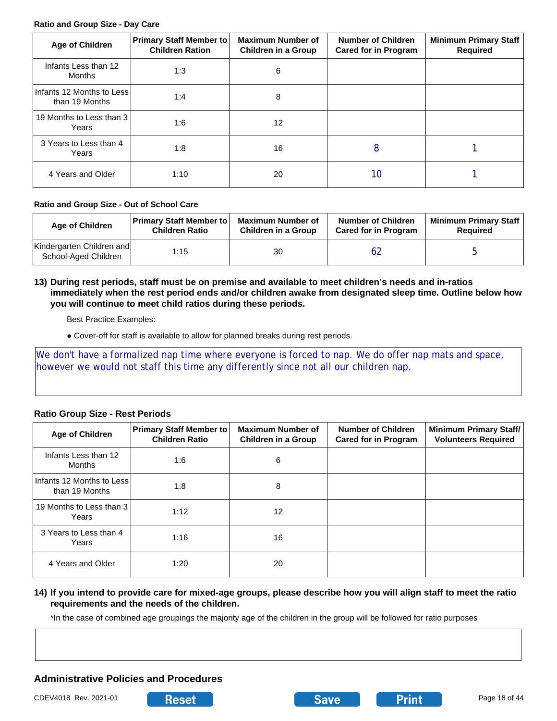#### **Ratio and Group Size - Day Care**

| Age of Children                             | <b>Primary Staff Member to</b><br><b>Children Ration</b> | <b>Maximum Number of</b><br><b>Children in a Group</b> | <b>Number of Children</b><br><b>Cared for in Program</b> | <b>Minimum Primary Staff</b><br><b>Required</b> |
|---------------------------------------------|----------------------------------------------------------|--------------------------------------------------------|----------------------------------------------------------|-------------------------------------------------|
| Infants Less than 12<br>Months              | 1:3                                                      | 6                                                      |                                                          |                                                 |
| Infants 12 Months to Less<br>than 19 Months | 1:4                                                      | 8                                                      |                                                          |                                                 |
| 19 Months to Less than 3<br>Years           | 1:6                                                      | 12                                                     |                                                          |                                                 |
| 3 Years to Less than 4<br>Years             | 1:8                                                      | 16                                                     | 8                                                        |                                                 |
| 4 Years and Older                           | 1:10                                                     | 20                                                     | 10                                                       |                                                 |

#### **Ratio and Group Size - Out of School Care**

| Age of Children                                   | <b>Primary Staff Member to</b> | <b>Maximum Number of</b> | <b>Number of Children</b>   | <b>Minimum Primary Staff</b> |
|---------------------------------------------------|--------------------------------|--------------------------|-----------------------------|------------------------------|
|                                                   | <b>Children Ratio</b>          | Children in a Group      | <b>Cared for in Program</b> | Reauired                     |
| Kindergarten Children and<br>School-Aged Children | 1:15                           | 30                       |                             |                              |

**13) During rest periods, staff must be on premise and available to meet children's needs and in-ratios immediately when the rest period ends and/or children awake from designated sleep time. Outline below how you will continue to meet child ratios during these periods.**

Best Practice Examples:

● Cover-off for staff is available to allow for planned breaks during rest periods.

We don't have a formalized nap time where everyone is forced to nap. We do offer nap mats and space, however we would not staff this time any differently since not all our children nap.

#### **Ratio Group Size - Rest Periods**

| <b>Age of Children</b>                      | <b>Primary Staff Member to</b><br><b>Children Ratio</b> | <b>Maximum Number of</b><br><b>Children in a Group</b> | <b>Number of Children</b><br><b>Cared for in Program</b> | <b>Minimum Primary Staff/</b><br><b>Volunteers Required</b> |
|---------------------------------------------|---------------------------------------------------------|--------------------------------------------------------|----------------------------------------------------------|-------------------------------------------------------------|
| Infants Less than 12<br><b>Months</b>       | 1:6                                                     | 6                                                      |                                                          |                                                             |
| Infants 12 Months to Less<br>than 19 Months | 1:8                                                     | 8                                                      |                                                          |                                                             |
| 19 Months to Less than 3<br>Years           | 1:12                                                    | 12                                                     |                                                          |                                                             |
| 3 Years to Less than 4<br>Years             | 1:16                                                    | 16                                                     |                                                          |                                                             |
| 4 Years and Older                           | 1:20                                                    | 20                                                     |                                                          |                                                             |

## **14) If you intend to provide care for mixed-age groups, please describe how you will align staff to meet the ratio requirements and the needs of the children.**

\*In the case of combined age groupings the majority age of the children in the group will be followed for ratio purposes

## **Administrative Policies and Procedures**



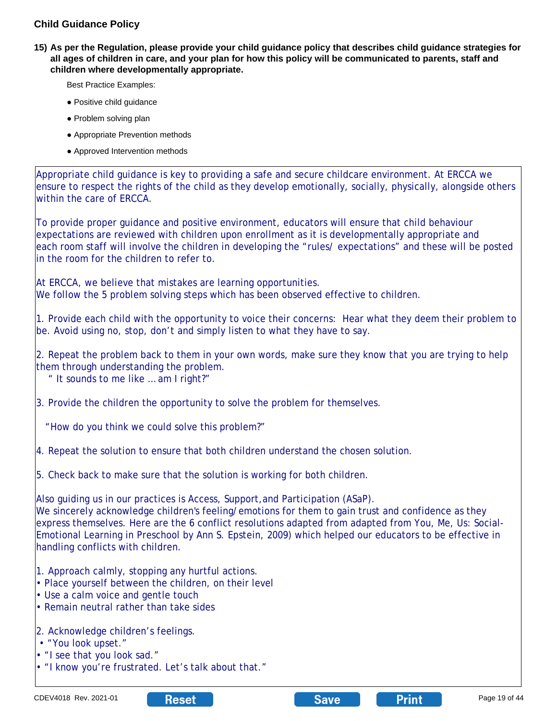# **Child Guidance Policy**

**15) As per the Regulation, please provide your child guidance policy that describes child guidance strategies for all ages of children in care, and your plan for how this policy will be communicated to parents, staff and children where developmentally appropriate.**

Best Practice Examples:

- Positive child guidance
- Problem solving plan
- Appropriate Prevention methods
- Approved Intervention methods

Appropriate child guidance is key to providing a safe and secure childcare environment. At ERCCA we ensure to respect the rights of the child as they develop emotionally, socially, physically, alongside others within the care of ERCCA.

To provide proper guidance and positive environment, educators will ensure that child behaviour expectations are reviewed with children upon enrollment as it is developmentally appropriate and each room staff will involve the children in developing the "rules/ expectations" and these will be posted in the room for the children to refer to.

At ERCCA, we believe that mistakes are learning opportunities. We follow the 5 problem solving steps which has been observed effective to children.

1. Provide each child with the opportunity to voice their concerns: Hear what they deem their problem to be. Avoid using no, stop, don't and simply listen to what they have to say.

2. Repeat the problem back to them in your own words, make sure they know that you are trying to help them through understanding the problem.

" It sounds to me like … am I right?"

3. Provide the children the opportunity to solve the problem for themselves.

"How do you think we could solve this problem?"

4. Repeat the solution to ensure that both children understand the chosen solution.

5. Check back to make sure that the solution is working for both children.

Also guiding us in our practices is Access, Support,and Participation (ASaP).

We sincerely acknowledge children's feeling/emotions for them to gain trust and confidence as they express themselves. Here are the 6 conflict resolutions adapted from adapted from You, Me, Us: Social-Emotional Learning in Preschool by Ann S. Epstein, 2009) which helped our educators to be effective in handling conflicts with children.

1. Approach calmly, stopping any hurtful actions.

- Place yourself between the children, on their level
- Use a calm voice and gentle touch
- Remain neutral rather than take sides

2. Acknowledge children's feelings.

- "You look upset."
- "I see that you look sad."
- "I know you're frustrated. Let's talk about that."



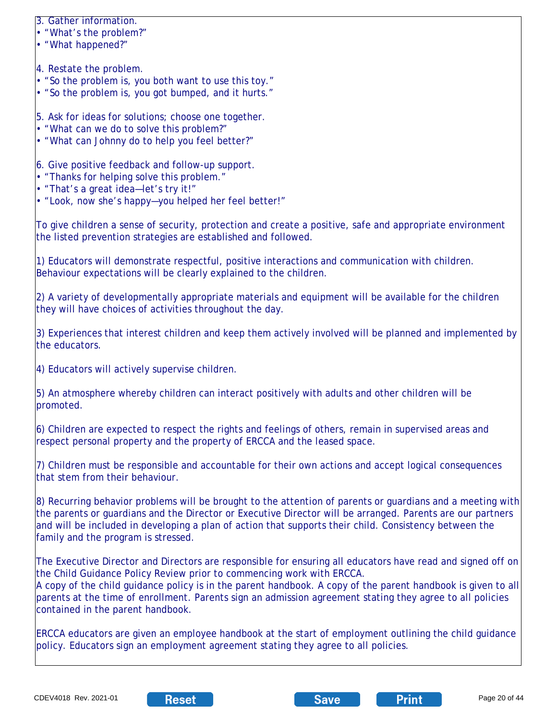# 3. Gather information.

- "What's the problem?"
- "What happened?"

4. Restate the problem.

- "So the problem is, you both want to use this toy."
- "So the problem is, you got bumped, and it hurts."
- 5. Ask for ideas for solutions; choose one together.
- "What can we do to solve this problem?"
- "What can Johnny do to help you feel better?"

6. Give positive feedback and follow-up support.

- "Thanks for helping solve this problem."
- "That's a great idea—let's try it!"
- "Look, now she's happy—you helped her feel better!"

To give children a sense of security, protection and create a positive, safe and appropriate environment the listed prevention strategies are established and followed.

1) Educators will demonstrate respectful, positive interactions and communication with children. Behaviour expectations will be clearly explained to the children.

2) A variety of developmentally appropriate materials and equipment will be available for the children they will have choices of activities throughout the day.

3) Experiences that interest children and keep them actively involved will be planned and implemented by the educators.

4) Educators will actively supervise children.

5) An atmosphere whereby children can interact positively with adults and other children will be promoted.

6) Children are expected to respect the rights and feelings of others, remain in supervised areas and respect personal property and the property of ERCCA and the leased space.

7) Children must be responsible and accountable for their own actions and accept logical consequences that stem from their behaviour.

8) Recurring behavior problems will be brought to the attention of parents or guardians and a meeting with the parents or guardians and the Director or Executive Director will be arranged. Parents are our partners and will be included in developing a plan of action that supports their child. Consistency between the family and the program is stressed.

The Executive Director and Directors are responsible for ensuring all educators have read and signed off on the Child Guidance Policy Review prior to commencing work with ERCCA.

A copy of the child guidance policy is in the parent handbook. A copy of the parent handbook is given to all parents at the time of enrollment. Parents sign an admission agreement stating they agree to all policies contained in the parent handbook.

ERCCA educators are given an employee handbook at the start of employment outlining the child guidance policy. Educators sign an employment agreement stating they agree to all policies.





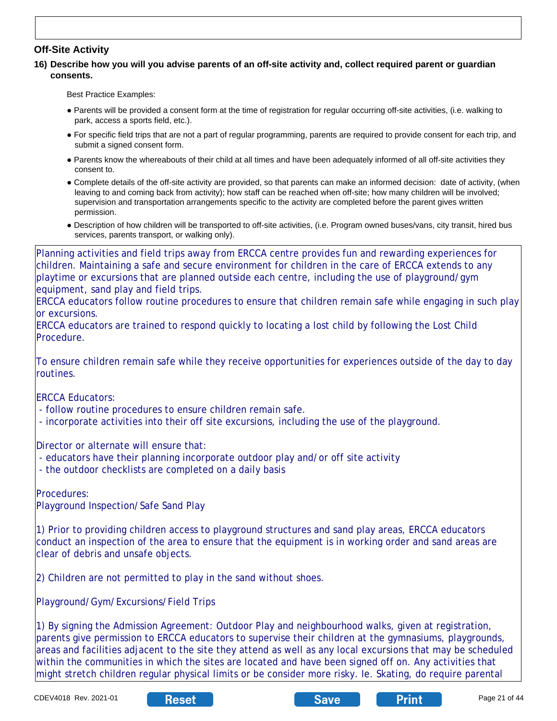# **Off-Site Activity**

## **16) Describe how you will you advise parents of an off-site activity and, collect required parent or guardian consents.**

Best Practice Examples:

- Parents will be provided a consent form at the time of registration for regular occurring off-site activities, (i.e. walking to park, access a sports field, etc.).
- For specific field trips that are not a part of regular programming, parents are required to provide consent for each trip, and submit a signed consent form.
- Parents know the whereabouts of their child at all times and have been adequately informed of all off-site activities they consent to.
- Complete details of the off-site activity are provided, so that parents can make an informed decision: date of activity, (when leaving to and coming back from activity); how staff can be reached when off-site; how many children will be involved; supervision and transportation arrangements specific to the activity are completed before the parent gives written permission.
- Description of how children will be transported to off-site activities, (i.e. Program owned buses/vans, city transit, hired bus services, parents transport, or walking only).

Planning activities and field trips away from ERCCA centre provides fun and rewarding experiences for children. Maintaining a safe and secure environment for children in the care of ERCCA extends to any playtime or excursions that are planned outside each centre, including the use of playground/gym equipment, sand play and field trips.

ERCCA educators follow routine procedures to ensure that children remain safe while engaging in such play or excursions.

ERCCA educators are trained to respond quickly to locating a lost child by following the Lost Child Procedure.

To ensure children remain safe while they receive opportunities for experiences outside of the day to day routines.

ERCCA Educators:

- follow routine procedures to ensure children remain safe.
- incorporate activities into their off site excursions, including the use of the playground.

Director or alternate will ensure that:

- educators have their planning incorporate outdoor play and/or off site activity
- the outdoor checklists are completed on a daily basis

Procedures:

Playground Inspection/Safe Sand Play

1) Prior to providing children access to playground structures and sand play areas, ERCCA educators conduct an inspection of the area to ensure that the equipment is in working order and sand areas are clear of debris and unsafe objects.

2) Children are not permitted to play in the sand without shoes.

Playground/Gym/Excursions/Field Trips

1) By signing the Admission Agreement: Outdoor Play and neighbourhood walks, given at registration, parents give permission to ERCCA educators to supervise their children at the gymnasiums, playgrounds, areas and facilities adjacent to the site they attend as well as any local excursions that may be scheduled within the communities in which the sites are located and have been signed off on. Any activities that might stretch children regular physical limits or be consider more risky. Ie. Skating, do require parental



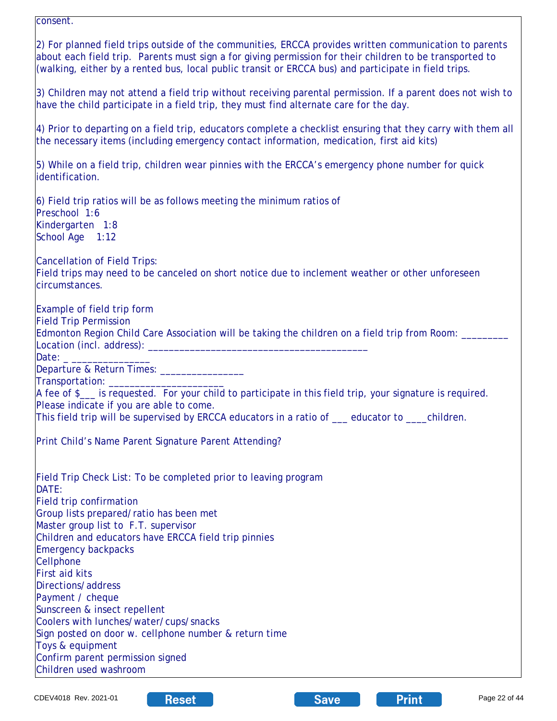2) For planned field trips outside of the communities, ERCCA provides written communication to parents about each field trip. Parents must sign a for giving permission for their children to be transported to (walking, either by a rented bus, local public transit or ERCCA bus) and participate in field trips. 3) Children may not attend a field trip without receiving parental permission. If a parent does not wish to have the child participate in a field trip, they must find alternate care for the day. 4) Prior to departing on a field trip, educators complete a checklist ensuring that they carry with them all the necessary items (including emergency contact information, medication, first aid kits) 5) While on a field trip, children wear pinnies with the ERCCA's emergency phone number for quick lidentification. 6) Field trip ratios will be as follows meeting the minimum ratios of Preschool 1:6 Kindergarten 1:8 School Age 1:12 Cancellation of Field Trips: Field trips may need to be canceled on short notice due to inclement weather or other unforeseen circumstances. Example of field trip form Field Trip Permission Edmonton Region Child Care Association will be taking the children on a field trip from Room: \_\_\_\_\_\_\_\_\_ Location (incl. address): **with any official control** Date:  $_$   $_-$ Departure & Return Times: Transportation: \_\_\_\_\_\_\_\_\_\_\_\_\_\_\_\_\_\_\_\_\_\_ A fee of  $\$\$  is requested. For your child to participate in this field trip, your signature is required. Please indicate if you are able to come. This field trip will be supervised by ERCCA educators in a ratio of  $\qquad$  educator to  $\qquad$  children. Print Child's Name Parent Signature Parent Attending? Field Trip Check List: To be completed prior to leaving program DATE: Field trip confirmation Group lists prepared/ratio has been met Master group list to F.T. supervisor Children and educators have ERCCA field trip pinnies Emergency backpacks Cellphone First aid kits Directions/address Payment / cheque Sunscreen & insect repellent Coolers with lunches/water/cups/snacks Sign posted on door w. cellphone number & return time Toys & equipment Confirm parent permission signed Children used washroom

consent.



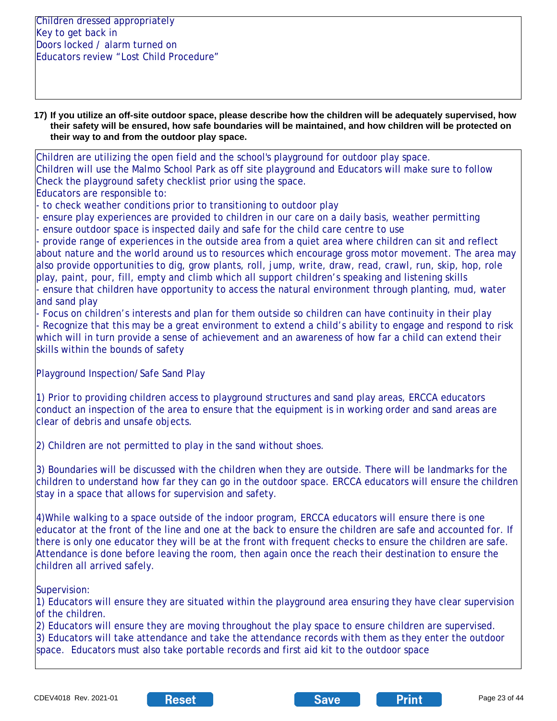Children dressed appropriately Key to get back in Doors locked / alarm turned on Educators review "Lost Child Procedure"

**17) If you utilize an off-site outdoor space, please describe how the children will be adequately supervised, how their safety will be ensured, how safe boundaries will be maintained, and how children will be protected on their way to and from the outdoor play space.**

Children are utilizing the open field and the school's playground for outdoor play space. Children will use the Malmo School Park as off site playground and Educators will make sure to follow Check the playground safety checklist prior using the space.

Educators are responsible to:

- to check weather conditions prior to transitioning to outdoor play

- ensure play experiences are provided to children in our care on a daily basis, weather permitting - ensure outdoor space is inspected daily and safe for the child care centre to use

- provide range of experiences in the outside area from a quiet area where children can sit and reflect about nature and the world around us to resources which encourage gross motor movement. The area may also provide opportunities to dig, grow plants, roll, jump, write, draw, read, crawl, run, skip, hop, role play, paint, pour, fill, empty and climb which all support children's speaking and listening skills - ensure that children have opportunity to access the natural environment through planting, mud, water and sand play

- Focus on children's interests and plan for them outside so children can have continuity in their play

- Recognize that this may be a great environment to extend a child's ability to engage and respond to risk which will in turn provide a sense of achievement and an awareness of how far a child can extend their skills within the bounds of safety

Playground Inspection/Safe Sand Play

1) Prior to providing children access to playground structures and sand play areas, ERCCA educators conduct an inspection of the area to ensure that the equipment is in working order and sand areas are clear of debris and unsafe objects.

2) Children are not permitted to play in the sand without shoes.

3) Boundaries will be discussed with the children when they are outside. There will be landmarks for the children to understand how far they can go in the outdoor space. ERCCA educators will ensure the children stay in a space that allows for supervision and safety.

4)While walking to a space outside of the indoor program, ERCCA educators will ensure there is one educator at the front of the line and one at the back to ensure the children are safe and accounted for. If there is only one educator they will be at the front with frequent checks to ensure the children are safe. Attendance is done before leaving the room, then again once the reach their destination to ensure the children all arrived safely.

Supervision:

1) Educators will ensure they are situated within the playground area ensuring they have clear supervision of the children.

2) Educators will ensure they are moving throughout the play space to ensure children are supervised.

3) Educators will take attendance and take the attendance records with them as they enter the outdoor space. Educators must also take portable records and first aid kit to the outdoor space



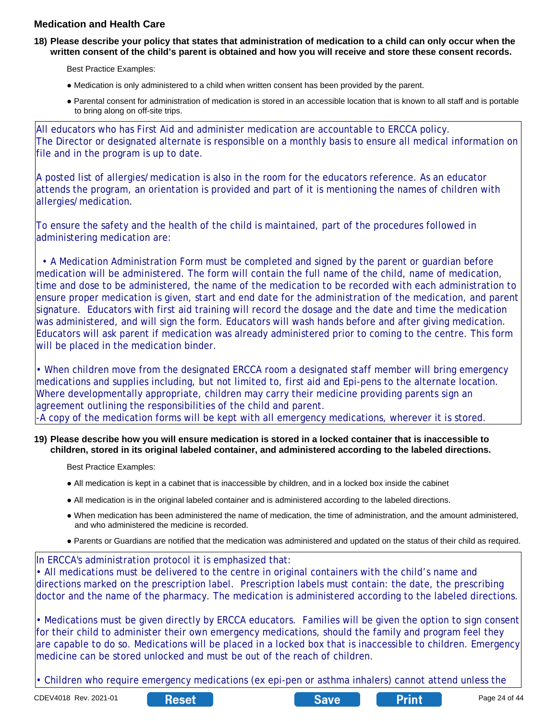## **Medication and Health Care**

**18) Please describe your policy that states that administration of medication to a child can only occur when the written consent of the child's parent is obtained and how you will receive and store these consent records.**

Best Practice Examples:

- Medication is only administered to a child when written consent has been provided by the parent.
- Parental consent for administration of medication is stored in an accessible location that is known to all staff and is portable to bring along on off-site trips.

All educators who has First Aid and administer medication are accountable to ERCCA policy. The Director or designated alternate is responsible on a monthly basis to ensure all medical information on file and in the program is up to date.

A posted list of allergies/medication is also in the room for the educators reference. As an educator attends the program, an orientation is provided and part of it is mentioning the names of children with allergies/medication.

To ensure the safety and the health of the child is maintained, part of the procedures followed in administering medication are:

 • A Medication Administration Form must be completed and signed by the parent or guardian before medication will be administered. The form will contain the full name of the child, name of medication, time and dose to be administered, the name of the medication to be recorded with each administration to ensure proper medication is given, start and end date for the administration of the medication, and parent signature. Educators with first aid training will record the dosage and the date and time the medication was administered, and will sign the form. Educators will wash hands before and after giving medication. Educators will ask parent if medication was already administered prior to coming to the centre. This form will be placed in the medication binder.

• When children move from the designated ERCCA room a designated staff member will bring emergency medications and supplies including, but not limited to, first aid and Epi-pens to the alternate location. Where developmentally appropriate, children may carry their medicine providing parents sign an agreement outlining the responsibilities of the child and parent. -A copy of the medication forms will be kept with all emergency medications, wherever it is stored.

## **19) Please describe how you will ensure medication is stored in a locked container that is inaccessible to children, stored in its original labeled container, and administered according to the labeled directions.**

Best Practice Examples:

- All medication is kept in a cabinet that is inaccessible by children, and in a locked box inside the cabinet
- All medication is in the original labeled container and is administered according to the labeled directions.
- When medication has been administered the name of medication, the time of administration, and the amount administered, and who administered the medicine is recorded.
- Parents or Guardians are notified that the medication was administered and updated on the status of their child as required.

In ERCCA's administration protocol it is emphasized that:

• All medications must be delivered to the centre in original containers with the child's name and directions marked on the prescription label. Prescription labels must contain: the date, the prescribing doctor and the name of the pharmacy. The medication is administered according to the labeled directions.

• Medications must be given directly by ERCCA educators. Families will be given the option to sign consent for their child to administer their own emergency medications, should the family and program feel they are capable to do so. Medications will be placed in a locked box that is inaccessible to children. Emergency medicine can be stored unlocked and must be out of the reach of children.

• Children who require emergency medications (ex epi-pen or asthma inhalers) cannot attend unless the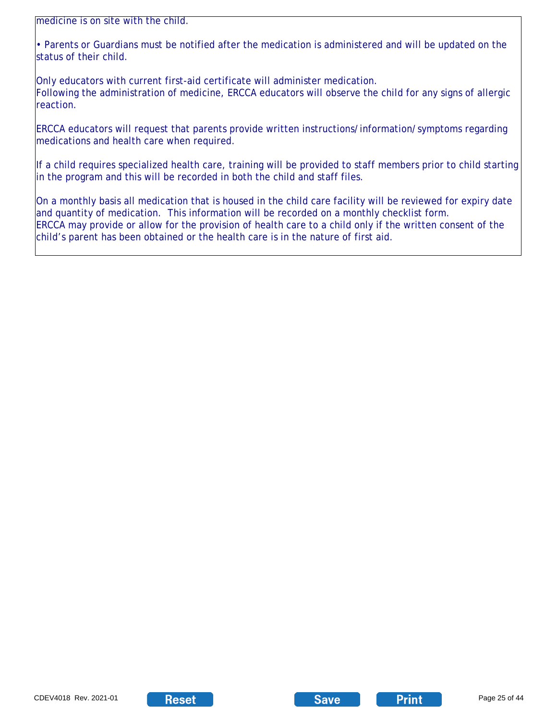medicine is on site with the child.

• Parents or Guardians must be notified after the medication is administered and will be updated on the status of their child.

Only educators with current first-aid certificate will administer medication. Following the administration of medicine, ERCCA educators will observe the child for any signs of allergic reaction.

ERCCA educators will request that parents provide written instructions/information/symptoms regarding medications and health care when required.

If a child requires specialized health care, training will be provided to staff members prior to child starting in the program and this will be recorded in both the child and staff files.

On a monthly basis all medication that is housed in the child care facility will be reviewed for expiry date and quantity of medication. This information will be recorded on a monthly checklist form. ERCCA may provide or allow for the provision of health care to a child only if the written consent of the child's parent has been obtained or the health care is in the nature of first aid.



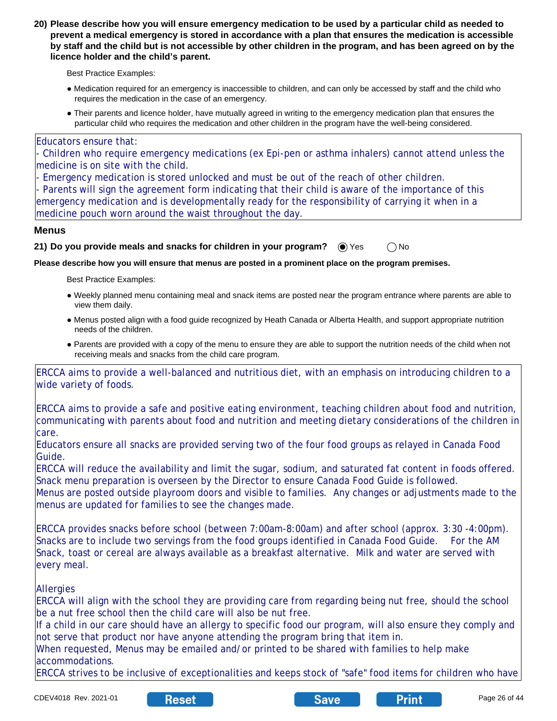**20) Please describe how you will ensure emergency medication to be used by a particular child as needed to prevent a medical emergency is stored in accordance with a plan that ensures the medication is accessible by staff and the child but is not accessible by other children in the program, and has been agreed on by the licence holder and the child's parent.**

Best Practice Examples:

- Medication required for an emergency is inaccessible to children, and can only be accessed by staff and the child who requires the medication in the case of an emergency.
- Their parents and licence holder, have mutually agreed in writing to the emergency medication plan that ensures the particular child who requires the medication and other children in the program have the well-being considered.

#### Educators ensure that:

| - Children who require emergency medications (ex Epi-pen or asthma inhalers) cannot attend unless the |  |  |  |  |
|-------------------------------------------------------------------------------------------------------|--|--|--|--|
| medicine is on site with the child.                                                                   |  |  |  |  |

- Emergency medication is stored unlocked and must be out of the reach of other children.

- Parents will sign the agreement form indicating that their child is aware of the importance of this emergency medication and is developmentally ready for the responsibility of carrying it when in a medicine pouch worn around the waist throughout the day.

#### **Menus**

## **21)** Do you provide meals and snacks for children in your program?  $\circledcirc$  Yes  $\circledcirc$  No

#### **Please describe how you will ensure that menus are posted in a prominent place on the program premises.**

Best Practice Examples:

- Weekly planned menu containing meal and snack items are posted near the program entrance where parents are able to view them daily.
- Menus posted align with a food guide recognized by Heath Canada or Alberta Health, and support appropriate nutrition needs of the children.
- Parents are provided with a copy of the menu to ensure they are able to support the nutrition needs of the child when not receiving meals and snacks from the child care program.

ERCCA aims to provide a well-balanced and nutritious diet, with an emphasis on introducing children to a wide variety of foods.

ERCCA aims to provide a safe and positive eating environment, teaching children about food and nutrition, communicating with parents about food and nutrition and meeting dietary considerations of the children in care.

Educators ensure all snacks are provided serving two of the four food groups as relayed in Canada Food Guide.

ERCCA will reduce the availability and limit the sugar, sodium, and saturated fat content in foods offered. Snack menu preparation is overseen by the Director to ensure Canada Food Guide is followed.

Menus are posted outside playroom doors and visible to families. Any changes or adjustments made to the menus are updated for families to see the changes made.

ERCCA provides snacks before school (between 7:00am-8:00am) and after school (approx. 3:30 -4:00pm). Snacks are to include two servings from the food groups identified in Canada Food Guide. For the AM Snack, toast or cereal are always available as a breakfast alternative. Milk and water are served with every meal.

## Allergies

ERCCA will align with the school they are providing care from regarding being nut free, should the school be a nut free school then the child care will also be nut free.

If a child in our care should have an allergy to specific food our program, will also ensure they comply and not serve that product nor have anyone attending the program bring that item in.

When requested, Menus may be emailed and/or printed to be shared with families to help make accommodations.

ERCCA strives to be inclusive of exceptionalities and keeps stock of "safe" food items for children who have



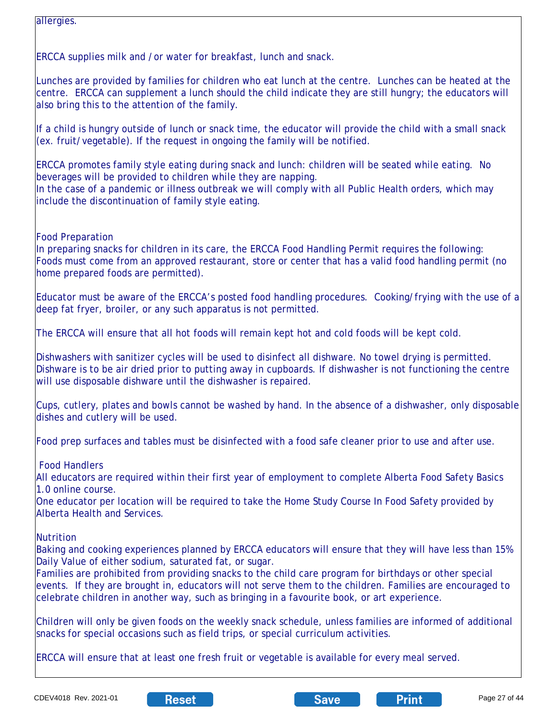allergies.

ERCCA supplies milk and /or water for breakfast, lunch and snack.

Lunches are provided by families for children who eat lunch at the centre. Lunches can be heated at the centre. ERCCA can supplement a lunch should the child indicate they are still hungry; the educators will also bring this to the attention of the family.

If a child is hungry outside of lunch or snack time, the educator will provide the child with a small snack (ex. fruit/vegetable). If the request in ongoing the family will be notified.

ERCCA promotes family style eating during snack and lunch: children will be seated while eating. No beverages will be provided to children while they are napping.

In the case of a pandemic or illness outbreak we will comply with all Public Health orders, which may include the discontinuation of family style eating.

Food Preparation

In preparing snacks for children in its care, the ERCCA Food Handling Permit requires the following: Foods must come from an approved restaurant, store or center that has a valid food handling permit (no home prepared foods are permitted).

Educator must be aware of the ERCCA's posted food handling procedures. Cooking/frying with the use of a deep fat fryer, broiler, or any such apparatus is not permitted.

The ERCCA will ensure that all hot foods will remain kept hot and cold foods will be kept cold.

Dishwashers with sanitizer cycles will be used to disinfect all dishware. No towel drying is permitted. Dishware is to be air dried prior to putting away in cupboards. If dishwasher is not functioning the centre will use disposable dishware until the dishwasher is repaired.

Cups, cutlery, plates and bowls cannot be washed by hand. In the absence of a dishwasher, only disposable dishes and cutlery will be used.

Food prep surfaces and tables must be disinfected with a food safe cleaner prior to use and after use.

Food Handlers

All educators are required within their first year of employment to complete Alberta Food Safety Basics 1.0 online course.

One educator per location will be required to take the Home Study Course In Food Safety provided by Alberta Health and Services.

Nutrition

Baking and cooking experiences planned by ERCCA educators will ensure that they will have less than 15% Daily Value of either sodium, saturated fat, or sugar.

Families are prohibited from providing snacks to the child care program for birthdays or other special events. If they are brought in, educators will not serve them to the children. Families are encouraged to celebrate children in another way, such as bringing in a favourite book, or art experience.

Children will only be given foods on the weekly snack schedule, unless families are informed of additional snacks for special occasions such as field trips, or special curriculum activities.

ERCCA will ensure that at least one fresh fruit or vegetable is available for every meal served.



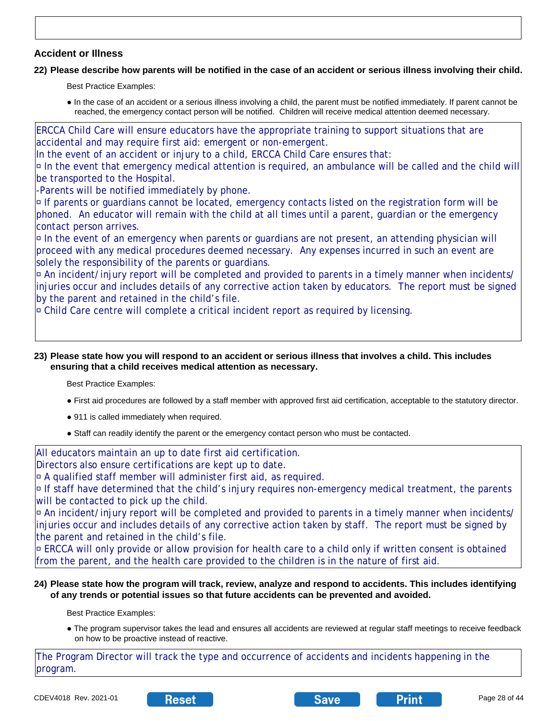## **Accident or Illness**

## **22) Please describe how parents will be notified in the case of an accident or serious illness involving their child.**

Best Practice Examples:

● In the case of an accident or a serious illness involving a child, the parent must be notified immediately. If parent cannot be reached, the emergency contact person will be notified. Children will receive medical attention deemed necessary.

ERCCA Child Care will ensure educators have the appropriate training to support situations that are accidental and may require first aid: emergent or non-emergent.

In the event of an accident or injury to a child, ERCCA Child Care ensures that:

� In the event that emergency medical attention is required, an ambulance will be called and the child will be transported to the Hospital.

-Parents will be notified immediately by phone.

� If parents or guardians cannot be located, emergency contacts listed on the registration form will be phoned. An educator will remain with the child at all times until a parent, guardian or the emergency contact person arrives.

� In the event of an emergency when parents or guardians are not present, an attending physician will proceed with any medical procedures deemed necessary. Any expenses incurred in such an event are solely the responsibility of the parents or quardians.

� An incident/injury report will be completed and provided to parents in a timely manner when incidents/ injuries occur and includes details of any corrective action taken by educators. The report must be signed by the parent and retained in the child's file.

� Child Care centre will complete a critical incident report as required by licensing.

## **23) Please state how you will respond to an accident or serious illness that involves a child. This includes ensuring that a child receives medical attention as necessary.**

Best Practice Examples:

- First aid procedures are followed by a staff member with approved first aid certification, acceptable to the statutory director.
- 911 is called immediately when required.
- Staff can readily identify the parent or the emergency contact person who must be contacted.

All educators maintain an up to date first aid certification. Directors also ensure certifications are kept up to date.

 $\vert$ <sup> $\vert$ </sup> A qualified staff member will administer first aid, as required.

 $\sigma$  If staff have determined that the child's injury requires non-emergency medical treatment, the parents will be contacted to pick up the child.

 $\sigma$  An incident/injury report will be completed and provided to parents in a timely manner when incidents/ injuries occur and includes details of any corrective action taken by staff. The report must be signed by the parent and retained in the child's file.

� ERCCA will only provide or allow provision for health care to a child only if written consent is obtained from the parent, and the health care provided to the children is in the nature of first aid.

## **24) Please state how the program will track, review, analyze and respond to accidents. This includes identifying of any trends or potential issues so that future accidents can be prevented and avoided.**

Best Practice Examples:

● The program supervisor takes the lead and ensures all accidents are reviewed at regular staff meetings to receive feedback on how to be proactive instead of reactive.

The Program Director will track the type and occurrence of accidents and incidents happening in the program.



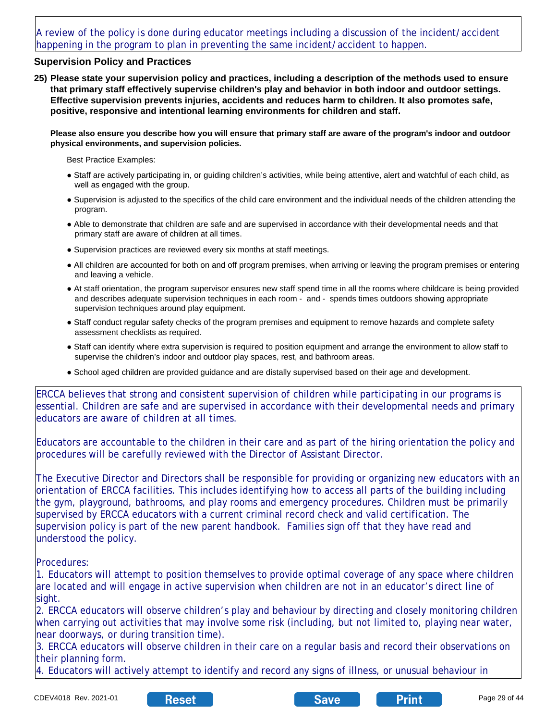A review of the policy is done during educator meetings including a discussion of the incident/accident happening in the program to plan in preventing the same incident/accident to happen.

## **Supervision Policy and Practices**

**25) Please state your supervision policy and practices, including a description of the methods used to ensure that primary staff effectively supervise children's play and behavior in both indoor and outdoor settings. Effective supervision prevents injuries, accidents and reduces harm to children. It also promotes safe, positive, responsive and intentional learning environments for children and staff.** 

**Please also ensure you describe how you will ensure that primary staff are aware of the program's indoor and outdoor physical environments, and supervision policies.**

Best Practice Examples:

- Staff are actively participating in, or guiding children's activities, while being attentive, alert and watchful of each child, as well as engaged with the group.
- Supervision is adjusted to the specifics of the child care environment and the individual needs of the children attending the program.
- Able to demonstrate that children are safe and are supervised in accordance with their developmental needs and that primary staff are aware of children at all times.
- Supervision practices are reviewed every six months at staff meetings.
- All children are accounted for both on and off program premises, when arriving or leaving the program premises or entering and leaving a vehicle.
- At staff orientation, the program supervisor ensures new staff spend time in all the rooms where childcare is being provided and describes adequate supervision techniques in each room - and - spends times outdoors showing appropriate supervision techniques around play equipment.
- Staff conduct regular safety checks of the program premises and equipment to remove hazards and complete safety assessment checklists as required.
- Staff can identify where extra supervision is required to position equipment and arrange the environment to allow staff to supervise the children's indoor and outdoor play spaces, rest, and bathroom areas.
- School aged children are provided guidance and are distally supervised based on their age and development.

ERCCA believes that strong and consistent supervision of children while participating in our programs is essential. Children are safe and are supervised in accordance with their developmental needs and primary educators are aware of children at all times.

Educators are accountable to the children in their care and as part of the hiring orientation the policy and procedures will be carefully reviewed with the Director of Assistant Director.

The Executive Director and Directors shall be responsible for providing or organizing new educators with an orientation of ERCCA facilities. This includes identifying how to access all parts of the building including the gym, playground, bathrooms, and play rooms and emergency procedures. Children must be primarily supervised by ERCCA educators with a current criminal record check and valid certification. The supervision policy is part of the new parent handbook. Families sign off that they have read and understood the policy.

## Procedures:

1. Educators will attempt to position themselves to provide optimal coverage of any space where children are located and will engage in active supervision when children are not in an educator's direct line of sight.

2. ERCCA educators will observe children's play and behaviour by directing and closely monitoring children when carrying out activities that may involve some risk (including, but not limited to, playing near water, near doorways, or during transition time).

3. ERCCA educators will observe children in their care on a regular basis and record their observations on their planning form.

4. Educators will actively attempt to identify and record any signs of illness, or unusual behaviour in



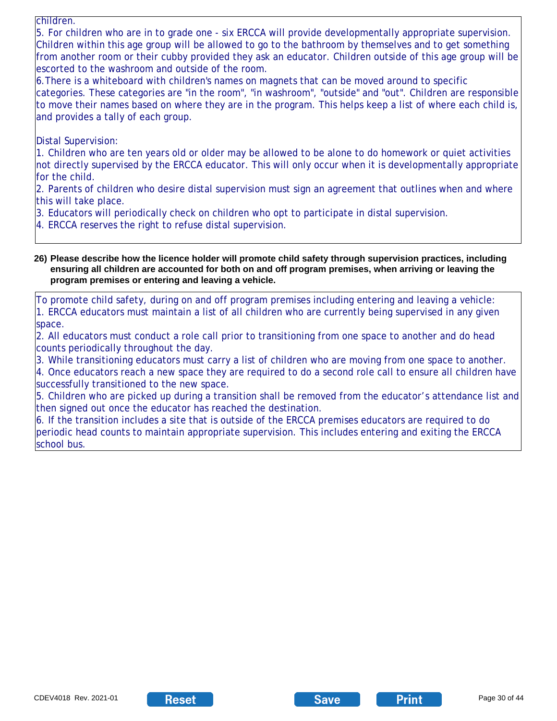children.

5. For children who are in to grade one - six ERCCA will provide developmentally appropriate supervision. Children within this age group will be allowed to go to the bathroom by themselves and to get something from another room or their cubby provided they ask an educator. Children outside of this age group will be escorted to the washroom and outside of the room.

6.There is a whiteboard with children's names on magnets that can be moved around to specific categories. These categories are "in the room", "in washroom", "outside" and "out". Children are responsible to move their names based on where they are in the program. This helps keep a list of where each child is, and provides a tally of each group.

Distal Supervision:

1. Children who are ten years old or older may be allowed to be alone to do homework or quiet activities not directly supervised by the ERCCA educator. This will only occur when it is developmentally appropriate for the child.

2. Parents of children who desire distal supervision must sign an agreement that outlines when and where this will take place.

3. Educators will periodically check on children who opt to participate in distal supervision.

4. ERCCA reserves the right to refuse distal supervision.

**26) Please describe how the licence holder will promote child safety through supervision practices, including ensuring all children are accounted for both on and off program premises, when arriving or leaving the program premises or entering and leaving a vehicle.**

To promote child safety, during on and off program premises including entering and leaving a vehicle: 1. ERCCA educators must maintain a list of all children who are currently being supervised in any given space.

2. All educators must conduct a role call prior to transitioning from one space to another and do head counts periodically throughout the day.

3. While transitioning educators must carry a list of children who are moving from one space to another.

4. Once educators reach a new space they are required to do a second role call to ensure all children have successfully transitioned to the new space.

5. Children who are picked up during a transition shall be removed from the educator's attendance list and then signed out once the educator has reached the destination.

6. If the transition includes a site that is outside of the ERCCA premises educators are required to do periodic head counts to maintain appropriate supervision. This includes entering and exiting the ERCCA school bus.



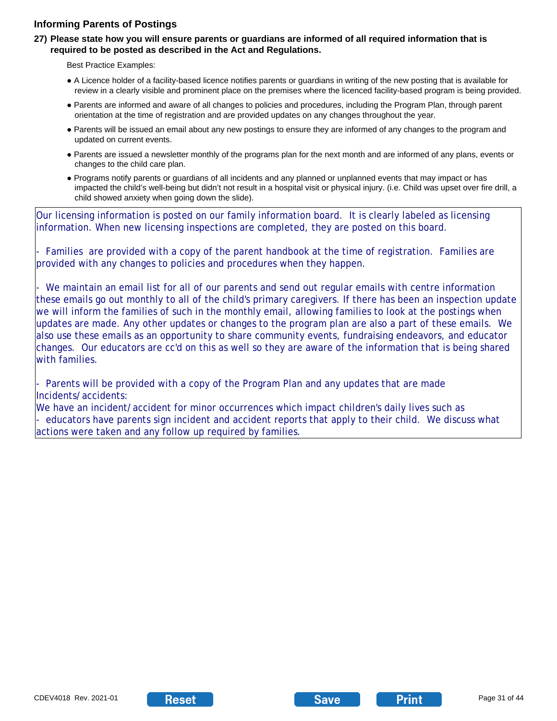## **Informing Parents of Postings**

#### **27) Please state how you will ensure parents or guardians are informed of all required information that is required to be posted as described in the Act and Regulations.**

Best Practice Examples:

- A Licence holder of a facility-based licence notifies parents or guardians in writing of the new posting that is available for review in a clearly visible and prominent place on the premises where the licenced facility-based program is being provided.
- Parents are informed and aware of all changes to policies and procedures, including the Program Plan, through parent orientation at the time of registration and are provided updates on any changes throughout the year.
- Parents will be issued an email about any new postings to ensure they are informed of any changes to the program and updated on current events.
- Parents are issued a newsletter monthly of the programs plan for the next month and are informed of any plans, events or changes to the child care plan.
- Programs notify parents or guardians of all incidents and any planned or unplanned events that may impact or has impacted the child's well-being but didn't not result in a hospital visit or physical injury. (i.e. Child was upset over fire drill, a child showed anxiety when going down the slide).

Our licensing information is posted on our family information board. It is clearly labeled as licensing information. When new licensing inspections are completed, they are posted on this board.

- Families are provided with a copy of the parent handbook at the time of registration. Families are provided with any changes to policies and procedures when they happen.

We maintain an email list for all of our parents and send out regular emails with centre information these emails go out monthly to all of the child's primary caregivers. If there has been an inspection update we will inform the families of such in the monthly email, allowing families to look at the postings when updates are made. Any other updates or changes to the program plan are also a part of these emails. We also use these emails as an opportunity to share community events, fundraising endeavors, and educator changes. Our educators are cc'd on this as well so they are aware of the information that is being shared with families.

Parents will be provided with a copy of the Program Plan and any updates that are made Incidents/accidents:

We have an incident/accident for minor occurrences which impact children's daily lives such as - educators have parents sign incident and accident reports that apply to their child. We discuss what actions were taken and any follow up required by families.

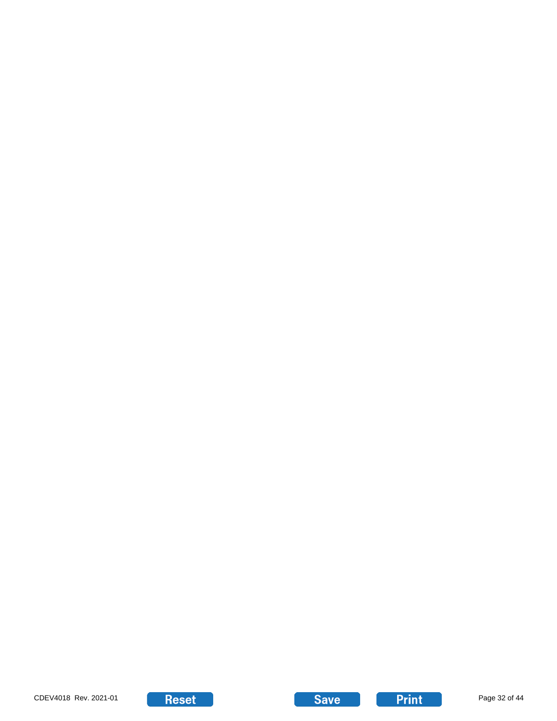



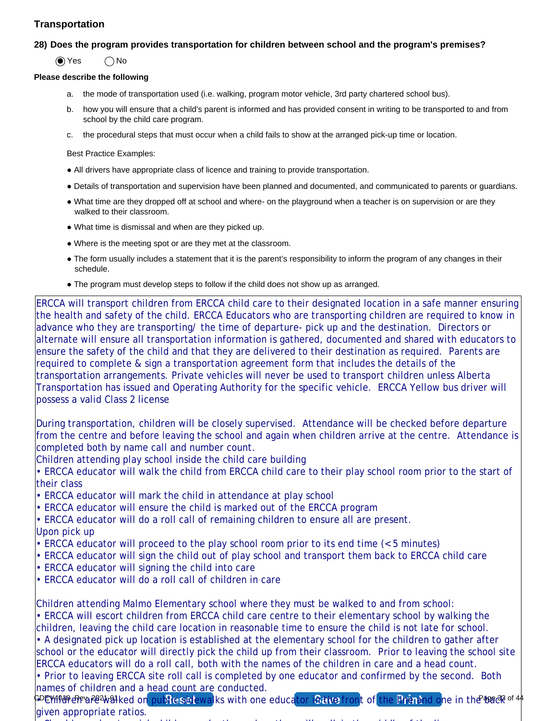# **Transportation**

## **28) Does the program provides transportation for children between school and the program's premises?**

 $\bigcirc$  Yes  $\bigcirc$  No

#### **Please describe the following**

- a. the mode of transportation used (i.e. walking, program motor vehicle, 3rd party chartered school bus).
- b. how you will ensure that a child's parent is informed and has provided consent in writing to be transported to and from school by the child care program.
- c. the procedural steps that must occur when a child fails to show at the arranged pick-up time or location.

Best Practice Examples:

- All drivers have appropriate class of licence and training to provide transportation.
- Details of transportation and supervision have been planned and documented, and communicated to parents or guardians.
- What time are they dropped off at school and where- on the playground when a teacher is on supervision or are they walked to their classroom.
- What time is dismissal and when are they picked up.
- Where is the meeting spot or are they met at the classroom.
- The form usually includes a statement that it is the parent's responsibility to inform the program of any changes in their schedule.
- The program must develop steps to follow if the child does not show up as arranged.

ERCCA will transport children from ERCCA child care to their designated location in a safe manner ensuring the health and safety of the child. ERCCA Educators who are transporting children are required to know in advance who they are transporting/ the time of departure- pick up and the destination. Directors or alternate will ensure all transportation information is gathered, documented and shared with educators to ensure the safety of the child and that they are delivered to their destination as required. Parents are required to complete & sign a transportation agreement form that includes the details of the transportation arrangements. Private vehicles will never be used to transport children unless Alberta Transportation has issued and Operating Authority for the specific vehicle. ERCCA Yellow bus driver will possess a valid Class 2 license

During transportation, children will be closely supervised. Attendance will be checked before departure from the centre and before leaving the school and again when children arrive at the centre. Attendance is completed both by name call and number count.

Children attending play school inside the child care building

• ERCCA educator will walk the child from ERCCA child care to their play school room prior to the start of their class

- ERCCA educator will mark the child in attendance at play school
- ERCCA educator will ensure the child is marked out of the ERCCA program
- ERCCA educator will do a roll call of remaining children to ensure all are present. Upon pick up
- ERCCA educator will proceed to the play school room prior to its end time (< 5 minutes)
- ERCCA educator will sign the child out of play school and transport them back to ERCCA child care
- ERCCA educator will signing the child into care
- ERCCA educator will do a roll call of children in care

Children attending Malmo Elementary school where they must be walked to and from school: • ERCCA will escort children from ERCCA child care centre to their elementary school by walking the children, leaving the child care location in reasonable time to ensure the child is not late for school. • A designated pick up location is established at the elementary school for the children to gather after school or the educator will directly pick the child up from their classroom. Prior to leaving the school site

ERCCA educators will do a roll call, both with the names of the children in care and a head count. • Prior to leaving ERCCA site roll call is completed by one educator and confirmed by the second. Both

names of children and a head count are conducted.

 PEY119dኖeFf are Walked on public sidewa<mark>lks with one educator in the fron</mark>t of the linenand one in the 1988eR <sup>of 44</sup> given appropriate ratios.

• Should an educator pick children up by themselves they will walk in the middle of the line.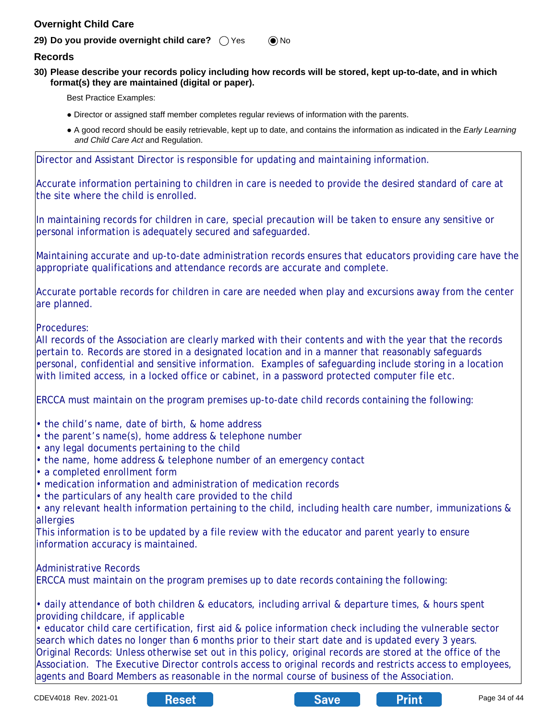# **Overnight Child Care**

#### **29) Do you provide overnight child care?**  $\odot$  No

# **Records**

**30) Please describe your records policy including how records will be stored, kept up-to-date, and in which format(s) they are maintained (digital or paper).**

Best Practice Examples:

- Director or assigned staff member completes regular reviews of information with the parents.
- A good record should be easily retrievable, kept up to date, and contains the information as indicated in the *Early Learning and Child Care Act* and Regulation.

Director and Assistant Director is responsible for updating and maintaining information.

Accurate information pertaining to children in care is needed to provide the desired standard of care at the site where the child is enrolled.

In maintaining records for children in care, special precaution will be taken to ensure any sensitive or personal information is adequately secured and safeguarded.

Maintaining accurate and up-to-date administration records ensures that educators providing care have the appropriate qualifications and attendance records are accurate and complete.

Accurate portable records for children in care are needed when play and excursions away from the center are planned.

# Procedures:

All records of the Association are clearly marked with their contents and with the year that the records pertain to. Records are stored in a designated location and in a manner that reasonably safeguards personal, confidential and sensitive information. Examples of safeguarding include storing in a location with limited access, in a locked office or cabinet, in a password protected computer file etc.

ERCCA must maintain on the program premises up-to-date child records containing the following:

- the child's name, date of birth, & home address
- the parent's name(s), home address & telephone number
- any legal documents pertaining to the child
- the name, home address & telephone number of an emergency contact
- a completed enrollment form
- medication information and administration of medication records
- the particulars of any health care provided to the child

• any relevant health information pertaining to the child, including health care number, immunizations & allergies

This information is to be updated by a file review with the educator and parent yearly to ensure information accuracy is maintained.

# Administrative Records

ERCCA must maintain on the program premises up to date records containing the following:

• daily attendance of both children & educators, including arrival & departure times, & hours spent providing childcare, if applicable

• educator child care certification, first aid & police information check including the vulnerable sector search which dates no longer than 6 months prior to their start date and is updated every 3 years. Original Records: Unless otherwise set out in this policy, original records are stored at the office of the Association. The Executive Director controls access to original records and restricts access to employees, agents and Board Members as reasonable in the normal course of business of the Association.

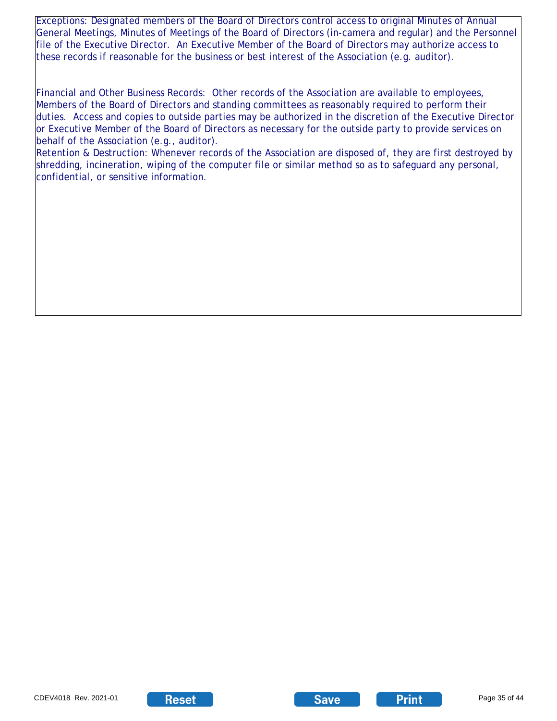Exceptions: Designated members of the Board of Directors control access to original Minutes of Annual General Meetings, Minutes of Meetings of the Board of Directors (in-camera and regular) and the Personnel file of the Executive Director. An Executive Member of the Board of Directors may authorize access to these records if reasonable for the business or best interest of the Association (e.g. auditor).

Financial and Other Business Records: Other records of the Association are available to employees, Members of the Board of Directors and standing committees as reasonably required to perform their duties. Access and copies to outside parties may be authorized in the discretion of the Executive Director or Executive Member of the Board of Directors as necessary for the outside party to provide services on behalf of the Association (e.g., auditor).

Retention & Destruction: Whenever records of the Association are disposed of, they are first destroyed by shredding, incineration, wiping of the computer file or similar method so as to safeguard any personal, confidential, or sensitive information.



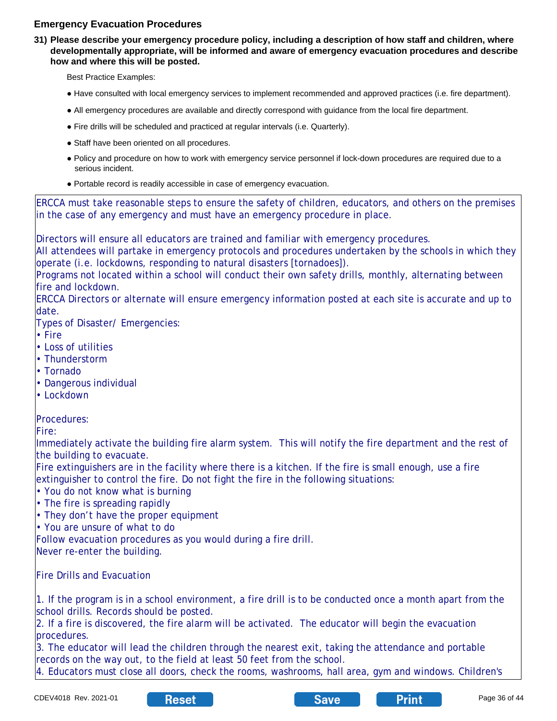## **Emergency Evacuation Procedures**

**31) Please describe your emergency procedure policy, including a description of how staff and children, where developmentally appropriate, will be informed and aware of emergency evacuation procedures and describe how and where this will be posted.** 

Best Practice Examples:

- Have consulted with local emergency services to implement recommended and approved practices (i.e. fire department).
- All emergency procedures are available and directly correspond with guidance from the local fire department.
- Fire drills will be scheduled and practiced at regular intervals (i.e. Quarterly).
- Staff have been oriented on all procedures.
- Policy and procedure on how to work with emergency service personnel if lock-down procedures are required due to a serious incident.
- Portable record is readily accessible in case of emergency evacuation.

ERCCA must take reasonable steps to ensure the safety of children, educators, and others on the premises in the case of any emergency and must have an emergency procedure in place.

Directors will ensure all educators are trained and familiar with emergency procedures.

All attendees will partake in emergency protocols and procedures undertaken by the schools in which they operate (i.e. lockdowns, responding to natural disasters [tornadoes]).

Programs not located within a school will conduct their own safety drills, monthly, alternating between fire and lockdown.

ERCCA Directors or alternate will ensure emergency information posted at each site is accurate and up to date.

Types of Disaster/ Emergencies:

- Fire
- Loss of utilities
- Thunderstorm
- Tornado
- Dangerous individual
- Lockdown

Procedures:

Fire:

Immediately activate the building fire alarm system. This will notify the fire department and the rest of the building to evacuate.

Fire extinguishers are in the facility where there is a kitchen. If the fire is small enough, use a fire extinguisher to control the fire. Do not fight the fire in the following situations:

- You do not know what is burning
- The fire is spreading rapidly
- They don't have the proper equipment
- You are unsure of what to do

Follow evacuation procedures as you would during a fire drill.

Never re-enter the building.

Fire Drills and Evacuation

1. If the program is in a school environment, a fire drill is to be conducted once a month apart from the school drills. Records should be posted.

2. If a fire is discovered, the fire alarm will be activated. The educator will begin the evacuation procedures.

3. The educator will lead the children through the nearest exit, taking the attendance and portable records on the way out, to the field at least 50 feet from the school.

4. Educators must close all doors, check the rooms, washrooms, hall area, gym and windows. Children's

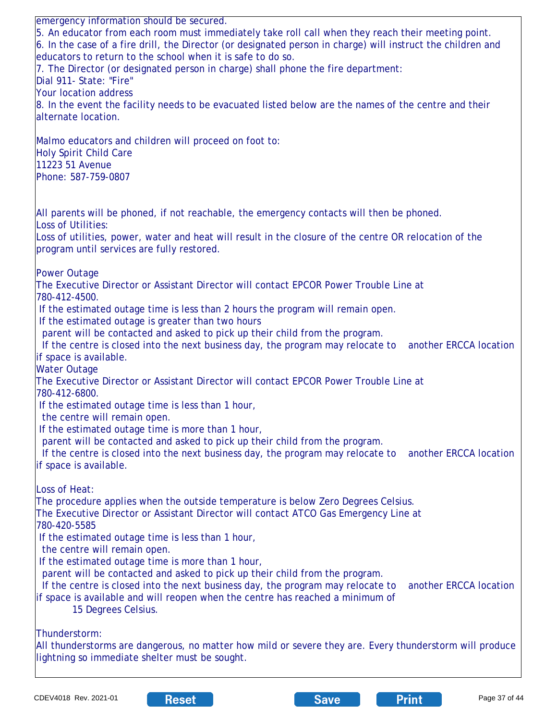emergency information should be secured. 5. An educator from each room must immediately take roll call when they reach their meeting point. 6. In the case of a fire drill, the Director (or designated person in charge) will instruct the children and educators to return to the school when it is safe to do so. 7. The Director (or designated person in charge) shall phone the fire department: Dial 911- State: "Fire" Your location address 8. In the event the facility needs to be evacuated listed below are the names of the centre and their alternate location. Malmo educators and children will proceed on foot to: Holy Spirit Child Care 11223 51 Avenue Phone: 587-759-0807 All parents will be phoned, if not reachable, the emergency contacts will then be phoned. Loss of Utilities: Loss of utilities, power, water and heat will result in the closure of the centre OR relocation of the program until services are fully restored. Power Outage The Executive Director or Assistant Director will contact EPCOR Power Trouble Line at 780-412-4500. If the estimated outage time is less than 2 hours the program will remain open. If the estimated outage is greater than two hours parent will be contacted and asked to pick up their child from the program. If the centre is closed into the next business day, the program may relocate to another ERCCA location if space is available. Water Outage The Executive Director or Assistant Director will contact EPCOR Power Trouble Line at 780-412-6800. If the estimated outage time is less than 1 hour, the centre will remain open. If the estimated outage time is more than 1 hour, parent will be contacted and asked to pick up their child from the program. If the centre is closed into the next business day, the program may relocate to another ERCCA location if space is available. Loss of Heat: The procedure applies when the outside temperature is below Zero Degrees Celsius. The Executive Director or Assistant Director will contact ATCO Gas Emergency Line at 780-420-5585 If the estimated outage time is less than 1 hour, the centre will remain open. If the estimated outage time is more than 1 hour, parent will be contacted and asked to pick up their child from the program. If the centre is closed into the next business day, the program may relocate to another ERCCA location if space is available and will reopen when the centre has reached a minimum of 15 Degrees Celsius. Thunderstorm: All thunderstorms are dangerous, no matter how mild or severe they are. Every thunderstorm will produce lightning so immediate shelter must be sought.

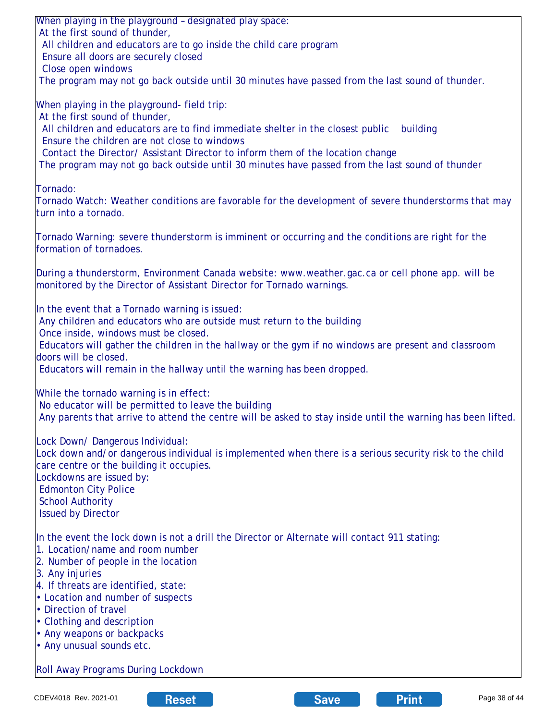When playing in the playground – designated play space: At the first sound of thunder, All children and educators are to go inside the child care program Ensure all doors are securely closed Close open windows The program may not go back outside until 30 minutes have passed from the last sound of thunder. When playing in the playground- field trip: At the first sound of thunder, All children and educators are to find immediate shelter in the closest public building Ensure the children are not close to windows Contact the Director/ Assistant Director to inform them of the location change The program may not go back outside until 30 minutes have passed from the last sound of thunder Tornado: Tornado Watch: Weather conditions are favorable for the development of severe thunderstorms that may turn into a tornado. Tornado Warning: severe thunderstorm is imminent or occurring and the conditions are right for the formation of tornadoes. During a thunderstorm, Environment Canada website: www.weather.gac.ca or cell phone app. will be monitored by the Director of Assistant Director for Tornado warnings. In the event that a Tornado warning is issued: Any children and educators who are outside must return to the building Once inside, windows must be closed. Educators will gather the children in the hallway or the gym if no windows are present and classroom doors will be closed. Educators will remain in the hallway until the warning has been dropped. While the tornado warning is in effect: No educator will be permitted to leave the building Any parents that arrive to attend the centre will be asked to stay inside until the warning has been lifted. Lock Down/ Dangerous Individual: Lock down and/or dangerous individual is implemented when there is a serious security risk to the child care centre or the building it occupies.

Lockdowns are issued by: Edmonton City Police School Authority

Issued by Director

In the event the lock down is not a drill the Director or Alternate will contact 911 stating:

- 1. Location/name and room number
- 2. Number of people in the location
- 3. Any injuries
- 4. If threats are identified, state:
- Location and number of suspects
- Direction of travel
- Clothing and description
- Any weapons or backpacks
- Any unusual sounds etc.

Roll Away Programs During Lockdown





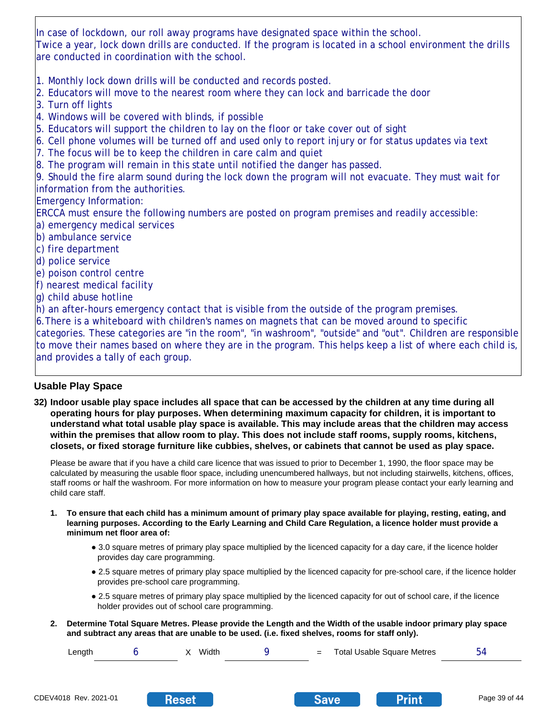In case of lockdown, our roll away programs have designated space within the school. Twice a year, lock down drills are conducted. If the program is located in a school environment the drills are conducted in coordination with the school.

- 1. Monthly lock down drills will be conducted and records posted.
- 2. Educators will move to the nearest room where they can lock and barricade the door
- 3. Turn off lights
- 4. Windows will be covered with blinds, if possible
- 5. Educators will support the children to lay on the floor or take cover out of sight
- 6. Cell phone volumes will be turned off and used only to report injury or for status updates via text
- 7. The focus will be to keep the children in care calm and quiet
- 8. The program will remain in this state until notified the danger has passed.

9. Should the fire alarm sound during the lock down the program will not evacuate. They must wait for information from the authorities.

Emergency Information:

ERCCA must ensure the following numbers are posted on program premises and readily accessible:

- a) emergency medical services
- b) ambulance service
- c) fire department
- d) police service
- e) poison control centre
- f) nearest medical facility
- g) child abuse hotline
- h) an after-hours emergency contact that is visible from the outside of the program premises.

6.There is a whiteboard with children's names on magnets that can be moved around to specific categories. These categories are "in the room", "in washroom", "outside" and "out". Children are responsible to move their names based on where they are in the program. This helps keep a list of where each child is, and provides a tally of each group.

# **Usable Play Space**

**32) Indoor usable play space includes all space that can be accessed by the children at any time during all operating hours for play purposes. When determining maximum capacity for children, it is important to understand what total usable play space is available. This may include areas that the children may access within the premises that allow room to play. This does not include staff rooms, supply rooms, kitchens, closets, or fixed storage furniture like cubbies, shelves, or cabinets that cannot be used as play space.**

Please be aware that if you have a child care licence that was issued to prior to December 1, 1990, the floor space may be calculated by measuring the usable floor space, including unencumbered hallways, but not including stairwells, kitchens, offices, staff rooms or half the washroom. For more information on how to measure your program please contact your early learning and child care staff.

- **1. To ensure that each child has a minimum amount of primary play space available for playing, resting, eating, and learning purposes. According to the Early Learning and Child Care Regulation, a licence holder must provide a minimum net floor area of:**
	- 3.0 square metres of primary play space multiplied by the licenced capacity for a day care, if the licence holder provides day care programming.
	- 2.5 square metres of primary play space multiplied by the licenced capacity for pre-school care, if the licence holder provides pre-school care programming.
	- 2.5 square metres of primary play space multiplied by the licenced capacity for out of school care, if the licence holder provides out of school care programming.
- **2. Determine Total Square Metres. Please provide the Length and the Width of the usable indoor primary play space and subtract any areas that are unable to be used. (i.e. fixed shelves, rooms for staff only).**

| Length                | Width | $=$   | <b>Total Usable Square Metres</b> | 54            |
|-----------------------|-------|-------|-----------------------------------|---------------|
|                       |       |       |                                   |               |
| CDEV4018 Rev. 2021-01 | Reset | Savel | <b>Print</b>                      | Page 39 of 44 |

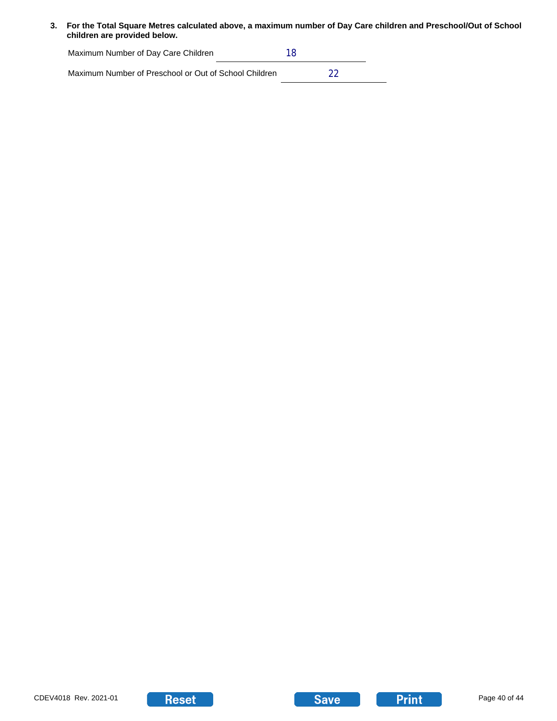| 3. For the Total Square Metres calculated above, a maximum number of Day Care children and Preschool/Out of School |
|--------------------------------------------------------------------------------------------------------------------|
| children are provided below.                                                                                       |

| Maximum Number of Day Care Children |  |
|-------------------------------------|--|
|                                     |  |

Maximum Number of Preschool or Out of School Children 22

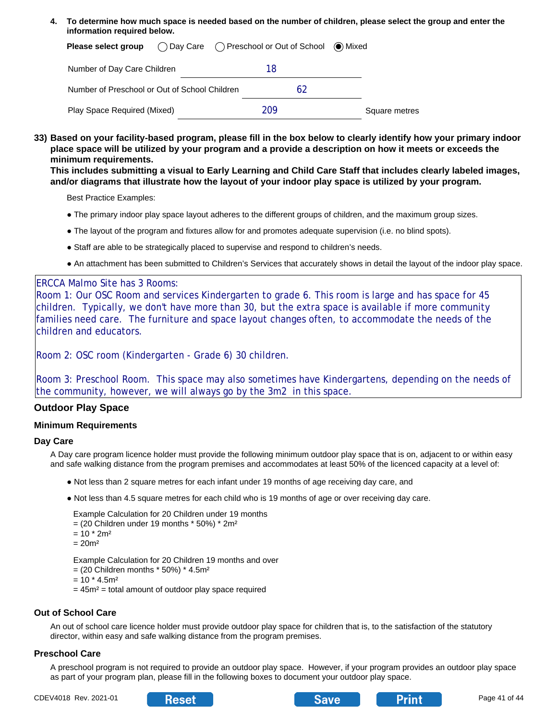#### **4. To determine how much space is needed based on the number of children, please select the group and enter the information required below.**

| Please select group                           | ○ Day Care ○ Preschool or Out of School ● Mixed |               |
|-----------------------------------------------|-------------------------------------------------|---------------|
| Number of Day Care Children                   | 18                                              |               |
| Number of Preschool or Out of School Children | 62                                              |               |
| Play Space Required (Mixed)                   | 209                                             | Square metres |

## **33) Based on your facility-based program, please fill in the box below to clearly identify how your primary indoor place space will be utilized by your program and a provide a description on how it meets or exceeds the minimum requirements.**

**This includes submitting a visual to Early Learning and Child Care Staff that includes clearly labeled images, and/or diagrams that illustrate how the layout of your indoor play space is utilized by your program.**

Best Practice Examples:

- The primary indoor play space layout adheres to the different groups of children, and the maximum group sizes.
- The layout of the program and fixtures allow for and promotes adequate supervision (i.e. no blind spots).
- Staff are able to be strategically placed to supervise and respond to children's needs.
- An attachment has been submitted to Children's Services that accurately shows in detail the layout of the indoor play space.

## ERCCA Malmo Site has 3 Rooms:

Room 1: Our OSC Room and services Kindergarten to grade 6. This room is large and has space for 45 children. Typically, we don't have more than 30, but the extra space is available if more community families need care. The furniture and space layout changes often, to accommodate the needs of the children and educators.

Room 2: OSC room (Kindergarten - Grade 6) 30 children.

Room 3: Preschool Room. This space may also sometimes have Kindergartens, depending on the needs of the community, however, we will always go by the 3m2 in this space.

## **Outdoor Play Space**

#### **Minimum Requirements**

#### **Day Care**

A Day care program licence holder must provide the following minimum outdoor play space that is on, adjacent to or within easy and safe walking distance from the program premises and accommodates at least 50% of the licenced capacity at a level of:

- Not less than 2 square metres for each infant under 19 months of age receiving day care, and
- Not less than 4.5 square metres for each child who is 19 months of age or over receiving day care.

Example Calculation for 20 Children under 19 months

```
= (20 Children under 19 months * 50%) * 2m<sup>2</sup>
```

```
= 10 * 2m^2
```
 $= 20m<sup>2</sup>$ 

Example Calculation for 20 Children 19 months and over

 $=$  (20 Children months  $*$  50%)  $*$  4.5m<sup>2</sup>

```
= 10 * 4.5m<sup>2</sup>
```
 $= 45m<sup>2</sup>$  = total amount of outdoor play space required

# **Out of School Care**

An out of school care licence holder must provide outdoor play space for children that is, to the satisfaction of the statutory director, within easy and safe walking distance from the program premises.

# **Preschool Care**

A preschool program is not required to provide an outdoor play space. However, if your program provides an outdoor play space as part of your program plan, please fill in the following boxes to document your outdoor play space.





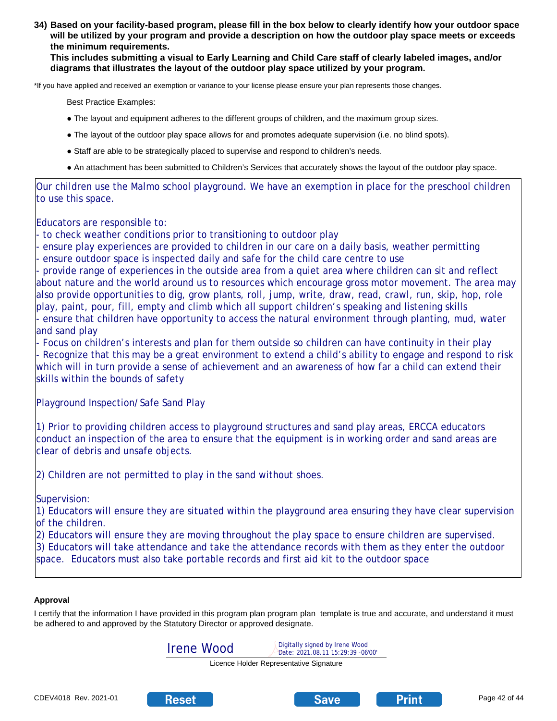**34) Based on your facility-based program, please fill in the box below to clearly identify how your outdoor space will be utilized by your program and provide a description on how the outdoor play space meets or exceeds the minimum requirements.** 

**This includes submitting a visual to Early Learning and Child Care staff of clearly labeled images, and/or diagrams that illustrates the layout of the outdoor play space utilized by your program.** 

\*If you have applied and received an exemption or variance to your license please ensure your plan represents those changes.

Best Practice Examples:

- The layout and equipment adheres to the different groups of children, and the maximum group sizes.
- The layout of the outdoor play space allows for and promotes adequate supervision (i.e. no blind spots).
- Staff are able to be strategically placed to supervise and respond to children's needs.
- An attachment has been submitted to Children's Services that accurately shows the layout of the outdoor play space.

Our children use the Malmo school playground. We have an exemption in place for the preschool children to use this space.

Educators are responsible to:

- to check weather conditions prior to transitioning to outdoor play

- ensure play experiences are provided to children in our care on a daily basis, weather permitting - ensure outdoor space is inspected daily and safe for the child care centre to use

- provide range of experiences in the outside area from a quiet area where children can sit and reflect about nature and the world around us to resources which encourage gross motor movement. The area may also provide opportunities to dig, grow plants, roll, jump, write, draw, read, crawl, run, skip, hop, role play, paint, pour, fill, empty and climb which all support children's speaking and listening skills - ensure that children have opportunity to access the natural environment through planting, mud, water and sand play

- Focus on children's interests and plan for them outside so children can have continuity in their play

- Recognize that this may be a great environment to extend a child's ability to engage and respond to risk which will in turn provide a sense of achievement and an awareness of how far a child can extend their skills within the bounds of safety

Playground Inspection/Safe Sand Play

1) Prior to providing children access to playground structures and sand play areas, ERCCA educators conduct an inspection of the area to ensure that the equipment is in working order and sand areas are clear of debris and unsafe objects.

2) Children are not permitted to play in the sand without shoes.

Supervision:

1) Educators will ensure they are situated within the playground area ensuring they have clear supervision of the children.

2) Educators will ensure they are moving throughout the play space to ensure children are supervised.

3) Educators will take attendance and take the attendance records with them as they enter the outdoor space. Educators must also take portable records and first aid kit to the outdoor space

#### **Approval**

I certify that the information I have provided in this program plan program plan template is true and accurate, and understand it must be adhered to and approved by the Statutory Director or approved designate.

**Irene Wood** Digitally signed by Irene Wood Date: 2021.08.11 15:29:39 -06'00'

Licence Holder Representative Signature





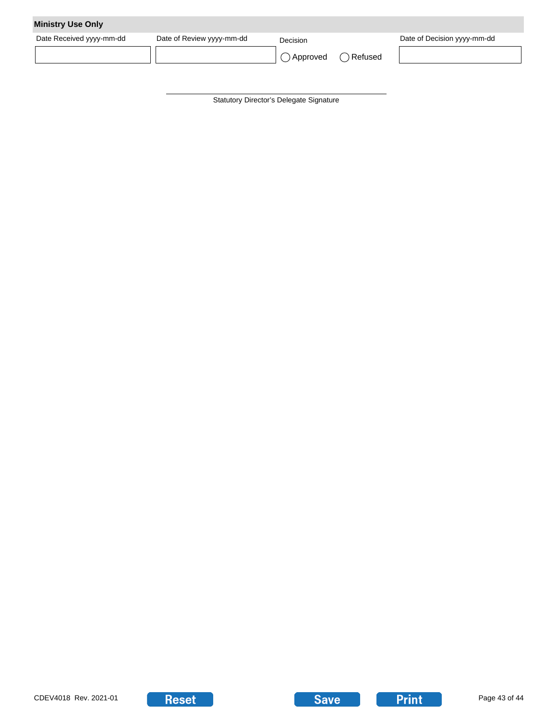| <b>Ministry Use Only</b> |                           |          |         |                             |
|--------------------------|---------------------------|----------|---------|-----------------------------|
| Date Received yyyy-mm-dd | Date of Review yyyy-mm-dd | Decision |         | Date of Decision yyyy-mm-dd |
|                          |                           | Approved | Refused |                             |
|                          |                           |          |         |                             |

Statutory Director's Delegate Signature